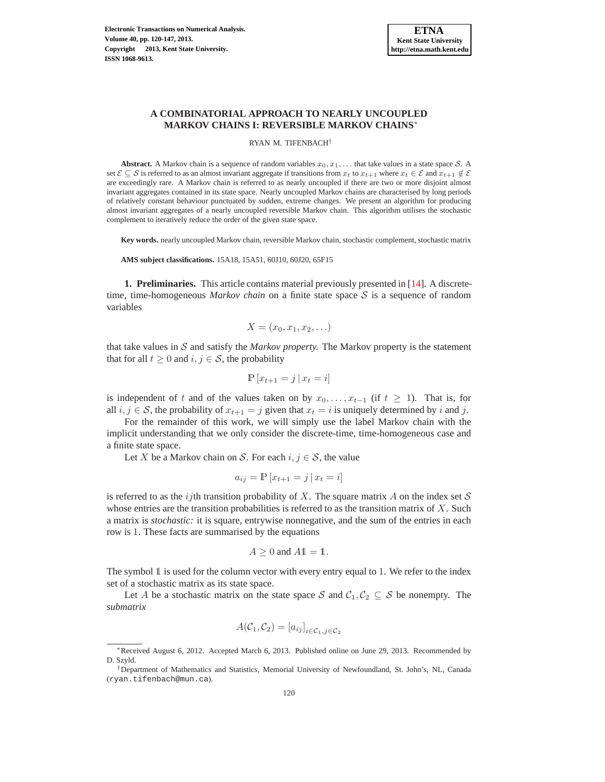

# **A COMBINATORIAL APPROACH TO NEARLY UNCOUPLED MARKOV CHAINS I: REVERSIBLE MARKOV CHAINS**<sup>∗</sup>

RYAN M. TIFENBACH†

**Abstract.** A Markov chain is a sequence of random variables  $x_0, x_1, \ldots$  that take values in a state space S. A set  $\mathcal{E} \subseteq \mathcal{S}$  is referred to as an almost invariant aggregate if transitions from  $x_t$  to  $x_{t+1}$  where  $x_t \in \mathcal{E}$  and  $x_{t+1} \notin \mathcal{E}$ are exceedingly rare. A Markov chain is referred to as nearly uncoupled if there are two or more disjoint almost invariant aggregates contained in its state space. Nearly uncoupled Markov chains are characterised by long periods of relatively constant behaviour punctuated by sudden, extreme changes. We present an algorithm for producing almost invariant aggregates of a nearly uncoupled reversible Markov chain. This algorithm utilises the stochastic complement to iteratively reduce the order of the given state space.

**Key words.** nearly uncoupled Markov chain, reversible Markov chain, stochastic complement, stochastic matrix

**AMS subject classifications.** 15A18, 15A51, 60J10, 60J20, 65F15

**1. Preliminaries.** This article contains material previously presented in [\[14\]](#page-27-0). A discretetime, time-homogeneous *Markov chain* on a finite state space  $S$  is a sequence of random variables

$$
X=(x_0,x_1,x_2,\ldots)
$$

that take values in  $S$  and satisfy the *Markov property*. The Markov property is the statement that for all  $t \geq 0$  and  $i, j \in S$ , the probability

$$
\mathbb{P}\left[x_{t+1}=j\,|\,x_t=i\right]
$$

is independent of t and of the values taken on by  $x_0, \ldots, x_{t-1}$  (if  $t \geq 1$ ). That is, for all  $i, j \in S$ , the probability of  $x_{t+1} = j$  given that  $x_t = i$  is uniquely determined by i and j.

For the remainder of this work, we will simply use the label Markov chain with the implicit understanding that we only consider the discrete-time, time-homogeneous case and a finite state space.

Let X be a Markov chain on S. For each  $i, j \in S$ , the value

$$
a_{ij} = \mathbb{P}\left[x_{t+1} = j \,|\, x_t = i\right]
$$

is referred to as the *i*<sub>j</sub>th transition probability of X. The square matrix A on the index set S whose entries are the transition probabilities is referred to as the transition matrix of  $X$ . Such a matrix is *stochastic:* it is square, entrywise nonnegative, and the sum of the entries in each row is 1. These facts are summarised by the equations

$$
A \ge 0 \text{ and } A1 = 1.
$$

The symbol 1 is used for the column vector with every entry equal to 1. We refer to the index set of a stochastic matrix as its state space.

Let A be a stochastic matrix on the state space S and  $C_1, C_2 \subseteq S$  be nonempty. The *submatrix*

$$
A(\mathcal{C}_1, \mathcal{C}_2) = [a_{ij}]_{i \in \mathcal{C}_1, j \in \mathcal{C}_2}
$$

<sup>∗</sup>Received August 6, 2012. Accepted March 6, 2013. Published online on June 29, 2013. Recommended by D. Szyld.

<sup>†</sup>Department of Mathematics and Statistics, Memorial University of Newfoundland, St. John's, NL, Canada (ryan.tifenbach@mun.ca).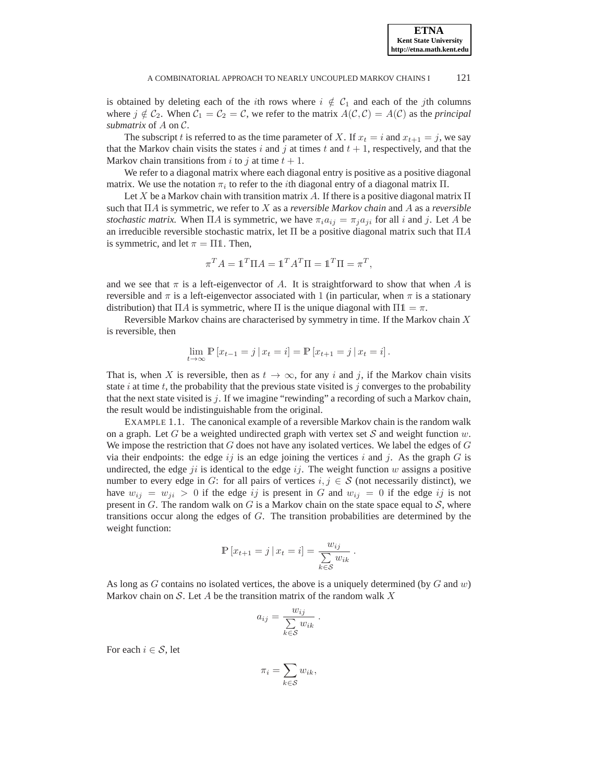is obtained by deleting each of the *i*th rows where  $i \notin C_1$  and each of the *j*th columns where  $j \notin C_2$ . When  $C_1 = C_2 = C$ , we refer to the matrix  $A(C, C) = A(C)$  as the *principal submatrix* of A on C.

The subscript t is referred to as the time parameter of X. If  $x_t = i$  and  $x_{t+1} = j$ , we say that the Markov chain visits the states i and j at times t and  $t + 1$ , respectively, and that the Markov chain transitions from i to j at time  $t + 1$ .

We refer to a diagonal matrix where each diagonal entry is positive as a positive diagonal matrix. We use the notation  $\pi_i$  to refer to the *i*th diagonal entry of a diagonal matrix  $\Pi$ .

Let X be a Markov chain with transition matrix A. If there is a positive diagonal matrix  $\Pi$ such that ΠA is symmetric, we refer to X as a *reversible Markov chain* and A as a *reversible stochastic matrix.* When  $\Pi A$  is symmetric, we have  $\pi_i a_{ij} = \pi_i a_{ji}$  for all i and j. Let A be an irreducible reversible stochastic matrix, let  $\Pi$  be a positive diagonal matrix such that  $\Pi A$ is symmetric, and let  $\pi = \Pi \mathbb{1}$ . Then,

$$
\pi^T A = \mathbb{1}^T \Pi A = \mathbb{1}^T A^T \Pi = \mathbb{1}^T \Pi = \pi^T,
$$

and we see that  $\pi$  is a left-eigenvector of A. It is straightforward to show that when A is reversible and  $\pi$  is a left-eigenvector associated with 1 (in particular, when  $\pi$  is a stationary distribution) that ΠA is symmetric, where Π is the unique diagonal with  $\Pi \mathbb{1} = \pi$ .

Reversible Markov chains are characterised by symmetry in time. If the Markov chain  $X$ is reversible, then

$$
\lim_{t \to \infty} \mathbb{P}[x_{t-1} = j | x_t = i] = \mathbb{P}[x_{t+1} = j | x_t = i].
$$

That is, when X is reversible, then as  $t \to \infty$ , for any i and j, if the Markov chain visits state i at time t, the probability that the previous state visited is j converges to the probability that the next state visited is  $j$ . If we imagine "rewinding" a recording of such a Markov chain, the result would be indistinguishable from the original.

EXAMPLE 1.1. The canonical example of a reversible Markov chain is the random walk on a graph. Let G be a weighted undirected graph with vertex set S and weight function  $w$ . We impose the restriction that  $G$  does not have any isolated vertices. We label the edges of  $G$ via their endpoints: the edge  $ij$  is an edge joining the vertices i and j. As the graph G is undirected, the edge  $ji$  is identical to the edge  $ij$ . The weight function w assigns a positive number to every edge in G: for all pairs of vertices  $i, j \in S$  (not necessarily distinct), we have  $w_{ij} = w_{ji} > 0$  if the edge ij is present in G and  $w_{ij} = 0$  if the edge ij is not present in G. The random walk on G is a Markov chain on the state space equal to  $S$ , where transitions occur along the edges of G. The transition probabilities are determined by the weight function:

$$
\mathbb{P}[x_{t+1} = j | x_t = i] = \frac{w_{ij}}{\sum_{k \in S} w_{ik}}.
$$

As long as  $G$  contains no isolated vertices, the above is a uniquely determined (by  $G$  and  $w$ ) Markov chain on S. Let A be the transition matrix of the random walk  $X$ 

$$
a_{ij} = \frac{w_{ij}}{\sum_{k \in S} w_{ik}}.
$$

For each  $i \in \mathcal{S}$ , let

$$
\pi_i = \sum_{k \in S} w_{ik},
$$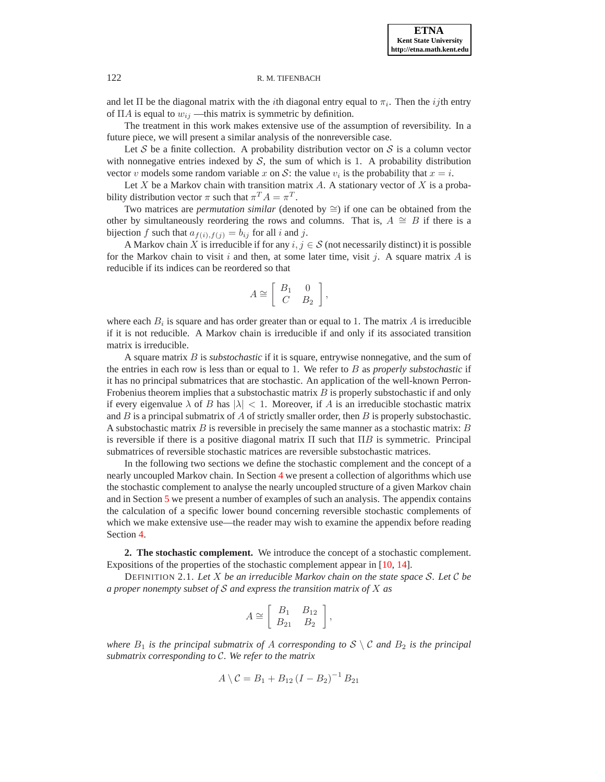and let  $\Pi$  be the diagonal matrix with the *i*th diagonal entry equal to  $\pi_i$ . Then the *ij*th entry of  $\Pi A$  is equal to  $w_{ij}$  —this matrix is symmetric by definition.

The treatment in this work makes extensive use of the assumption of reversibility. In a future piece, we will present a similar analysis of the nonreversible case.

Let S be a finite collection. A probability distribution vector on S is a column vector with nonnegative entries indexed by  $S$ , the sum of which is 1. A probability distribution vector v models some random variable x on S: the value  $v_i$  is the probability that  $x = i$ .

Let X be a Markov chain with transition matrix  $A$ . A stationary vector of X is a probability distribution vector  $\pi$  such that  $\pi^T A = \pi^T$ .

Two matrices are *permutation similar* (denoted by ≅) if one can be obtained from the other by simultaneously reordering the rows and columns. That is,  $A \cong B$  if there is a bijection f such that  $a_{f(i),f(j)} = b_{ij}$  for all i and j.

A Markov chain X is irreducible if for any  $i, j \in S$  (not necessarily distinct) it is possible for the Markov chain to visit i and then, at some later time, visit j. A square matrix A is reducible if its indices can be reordered so that

$$
A \cong \left[ \begin{array}{cc} B_1 & 0 \\ C & B_2 \end{array} \right],
$$

where each  $B_i$  is square and has order greater than or equal to 1. The matrix A is irreducible if it is not reducible. A Markov chain is irreducible if and only if its associated transition matrix is irreducible.

A square matrix B is *substochastic* if it is square, entrywise nonnegative, and the sum of the entries in each row is less than or equal to 1. We refer to B as *properly substochastic* if it has no principal submatrices that are stochastic. An application of the well-known Perron-Frobenius theorem implies that a substochastic matrix  $B$  is properly substochastic if and only if every eigenvalue  $\lambda$  of B has  $|\lambda| < 1$ . Moreover, if A is an irreducible stochastic matrix and  $B$  is a principal submatrix of  $A$  of strictly smaller order, then  $B$  is properly substochastic. A substochastic matrix  $B$  is reversible in precisely the same manner as a stochastic matrix:  $B$ is reversible if there is a positive diagonal matrix  $\Pi$  such that  $\Pi B$  is symmetric. Principal submatrices of reversible stochastic matrices are reversible substochastic matrices.

In the following two sections we define the stochastic complement and the concept of a nearly uncoupled Markov chain. In Section [4](#page-7-0) we present a collection of algorithms which use the stochastic complement to analyse the nearly uncoupled structure of a given Markov chain and in Section [5](#page-12-0) we present a number of examples of such an analysis. The appendix contains the calculation of a specific lower bound concerning reversible stochastic complements of which we make extensive use—the reader may wish to examine the appendix before reading Section [4.](#page-7-0)

**2. The stochastic complement.** We introduce the concept of a stochastic complement. Expositions of the properties of the stochastic complement appear in [\[10,](#page-27-1) [14\]](#page-27-0).

DEFINITION 2.1. *Let* X *be an irreducible Markov chain on the state space* S*. Let* C *be a proper nonempty subset of* S *and express the transition matrix of* X *as*

$$
A \cong \left[ \begin{array}{cc} B_1 & B_{12} \\ B_{21} & B_2 \end{array} \right],
$$

*where*  $B_1$  *is the principal submatrix of* A *corresponding to*  $S \setminus C$  *and*  $B_2$  *is the principal submatrix corresponding to* C*. We refer to the matrix*

$$
A \setminus C = B_1 + B_{12} (I - B_2)^{-1} B_{21}
$$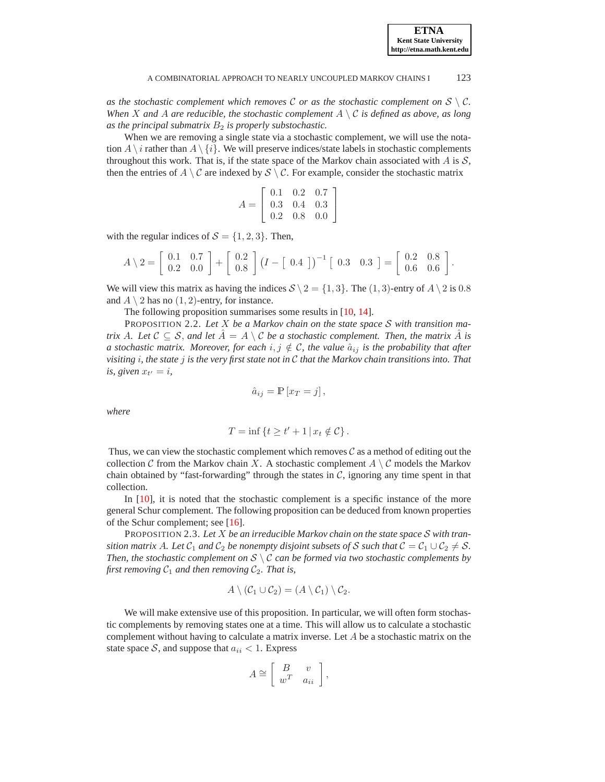*as the stochastic complement which removes*  $C$  *or as the stochastic complement on*  $S \setminus C$ *. When* X and A are reducible, the stochastic complement  $A \setminus C$  *is defined as above, as long* as the principal submatrix  $B_2$  is properly substochastic.

When we are removing a single state via a stochastic complement, we will use the notation  $A \setminus \{i\}$ . We will preserve indices/state labels in stochastic complements throughout this work. That is, if the state space of the Markov chain associated with  $A$  is  $S$ , then the entries of  $A \setminus C$  are indexed by  $S \setminus C$ . For example, consider the stochastic matrix

$$
A = \left[ \begin{array}{ccc} 0.1 & 0.2 & 0.7 \\ 0.3 & 0.4 & 0.3 \\ 0.2 & 0.8 & 0.0 \end{array} \right]
$$

with the regular indices of  $S = \{1, 2, 3\}$ . Then,

$$
A \setminus 2 = \left[ \begin{array}{cc} 0.1 & 0.7 \\ 0.2 & 0.0 \end{array} \right] + \left[ \begin{array}{c} 0.2 \\ 0.8 \end{array} \right] (I - \left[ \begin{array}{cc} 0.4 \end{array} \right])^{-1} \left[ \begin{array}{cc} 0.3 & 0.3 \end{array} \right] = \left[ \begin{array}{cc} 0.2 & 0.8 \\ 0.6 & 0.6 \end{array} \right].
$$

We will view this matrix as having the indices  $S \setminus 2 = \{1, 3\}$ . The  $(1, 3)$ -entry of  $A \setminus 2$  is 0.8 and  $A \setminus 2$  has no  $(1, 2)$ -entry, for instance.

The following proposition summarises some results in [\[10,](#page-27-1) [14\]](#page-27-0).

PROPOSITION 2.2. *Let* X *be a Markov chain on the state space* S *with transition matrix* A. Let  $C \subseteq S$ , and let  $\overline{A} = A \setminus C$  be a stochastic complement. Then, the matrix A is *a stochastic matrix. Moreover, for each*  $i, j \notin C$ *, the value*  $\hat{a}_{ij}$  *is the probability that after visiting* i*, the state* j *is the very first state not in* C *that the Markov chain transitions into. That is, given*  $x_{t'} = i$ ,

<span id="page-3-0"></span>
$$
\hat{a}_{ij} = \mathbb{P}\left[x_T = j\right],
$$

*where*

$$
T = \inf \left\{ t \ge t' + 1 \, | \, x_t \notin \mathcal{C} \right\}.
$$

Thus, we can view the stochastic complement which removes  $\mathcal C$  as a method of editing out the collection C from the Markov chain X. A stochastic complement  $A \setminus C$  models the Markov chain obtained by "fast-forwarding" through the states in  $C$ , ignoring any time spent in that collection.

In [\[10\]](#page-27-1), it is noted that the stochastic complement is a specific instance of the more general Schur complement. The following proposition can be deduced from known properties of the Schur complement; see [\[16\]](#page-27-2).

PROPOSITION 2.3. *Let* X *be an irreducible Markov chain on the state space* S *with transition matrix* A. Let  $C_1$  *and*  $C_2$  *be nonempty disjoint subsets of* S *such that*  $C = C_1 \cup C_2 \neq S$ . *Then, the stochastic complement on* S \ C *can be formed via two stochastic complements by first removing*  $C_1$  *and then removing*  $C_2$ *. That is,* 

$$
A \setminus (\mathcal{C}_1 \cup \mathcal{C}_2) = (A \setminus \mathcal{C}_1) \setminus \mathcal{C}_2.
$$

We will make extensive use of this proposition. In particular, we will often form stochastic complements by removing states one at a time. This will allow us to calculate a stochastic complement without having to calculate a matrix inverse. Let  $A$  be a stochastic matrix on the state space S, and suppose that  $a_{ii} < 1$ . Express

$$
A \cong \left[ \begin{array}{cc} B & v \\ w^T & a_{ii} \end{array} \right],
$$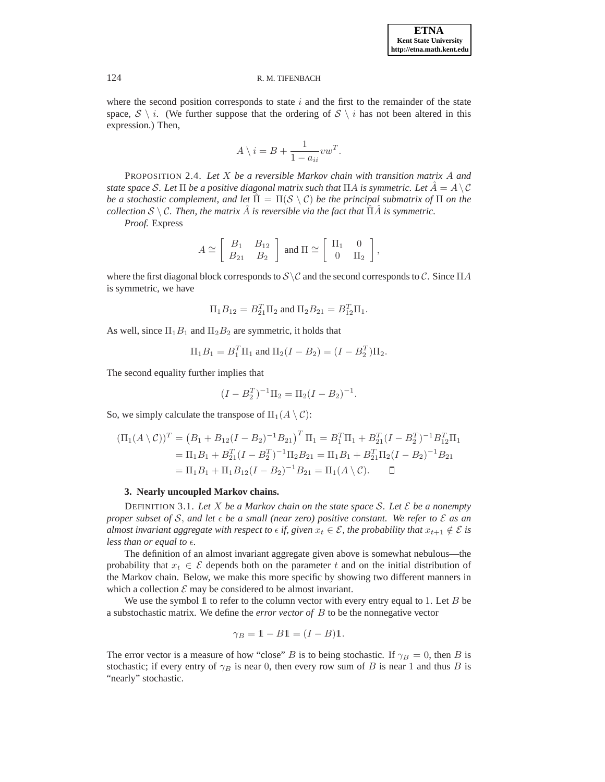where the second position corresponds to state  $i$  and the first to the remainder of the state space,  $S \setminus i$ . (We further suppose that the ordering of  $S \setminus i$  has not been altered in this expression.) Then,

$$
A \setminus i = B + \frac{1}{1 - a_{ii}} vw^T.
$$

PROPOSITION 2.4. *Let* X *be a reversible Markov chain with transition matrix* A *and state space* S. Let  $\Pi$  *be a positive diagonal matrix such that*  $\Pi A$  *is symmetric. Let*  $\hat{A} = A \setminus C$ *be a stochastic complement, and let*  $\Pi = \Pi(S \setminus C)$  *be the principal submatrix of*  $\Pi$  *on the collection*  $S \setminus C$ *. Then, the matrix*  $\hat{A}$  *is reversible via the fact that*  $\hat{\Pi} \hat{A}$  *is symmetric.* 

*Proof.* Express

$$
A \cong \left[ \begin{array}{cc} B_1 & B_{12} \\ B_{21} & B_2 \end{array} \right] \text{ and } \Pi \cong \left[ \begin{array}{cc} \Pi_1 & 0 \\ 0 & \Pi_2 \end{array} \right],
$$

where the first diagonal block corresponds to  $S \setminus C$  and the second corresponds to C. Since  $\Pi A$ is symmetric, we have

$$
\Pi_1 B_{12} = B_{21}^T \Pi_2
$$
 and  $\Pi_2 B_{21} = B_{12}^T \Pi_1$ .

As well, since  $\Pi_1B_1$  and  $\Pi_2B_2$  are symmetric, it holds that

$$
\Pi_1 B_1 = B_1^T \Pi_1
$$
 and  $\Pi_2 (I - B_2) = (I - B_2^T) \Pi_2$ .

The second equality further implies that

$$
(I - B_2^T)^{-1} \Pi_2 = \Pi_2 (I - B_2)^{-1}.
$$

So, we simply calculate the transpose of  $\Pi_1(A \setminus C)$ :

$$
(\Pi_1(A \setminus C))^T = (B_1 + B_{12}(I - B_2)^{-1}B_{21})^T \Pi_1 = B_1^T \Pi_1 + B_{21}^T (I - B_2^T)^{-1} B_{12}^T \Pi_1
$$
  
=  $\Pi_1 B_1 + B_{21}^T (I - B_2^T)^{-1} \Pi_2 B_{21} = \Pi_1 B_1 + B_{21}^T \Pi_2 (I - B_2)^{-1} B_{21}$   
=  $\Pi_1 B_1 + \Pi_1 B_{12}(I - B_2)^{-1} B_{21} = \Pi_1 (A \setminus C).$ 

#### **3. Nearly uncoupled Markov chains.**

<span id="page-4-0"></span>DEFINITION 3.1. *Let* X *be a Markov chain on the state space* S*. Let* E *be a nonempty proper subset of* S, and let  $\epsilon$  be a small (near zero) positive constant. We refer to  $\mathcal E$  as an *almost invariant aggregate with respect to*  $\epsilon$  *if, given*  $x_t \in \mathcal{E}$ *, the probability that*  $x_{t+1} \notin \mathcal{E}$  *is less than or equal to*  $\epsilon$ *.* 

The definition of an almost invariant aggregate given above is somewhat nebulous—the probability that  $x_t \in \mathcal{E}$  depends both on the parameter t and on the initial distribution of the Markov chain. Below, we make this more specific by showing two different manners in which a collection  $\mathcal E$  may be considered to be almost invariant.

We use the symbol  $\mathbb 1$  to refer to the column vector with every entry equal to 1. Let  $B$  be a substochastic matrix. We define the *error vector of* B to be the nonnegative vector

$$
\gamma_B = 1 - B1 = (I - B)1.
$$

The error vector is a measure of how "close" B is to being stochastic. If  $\gamma_B = 0$ , then B is stochastic; if every entry of  $\gamma_B$  is near 0, then every row sum of B is near 1 and thus B is "nearly" stochastic.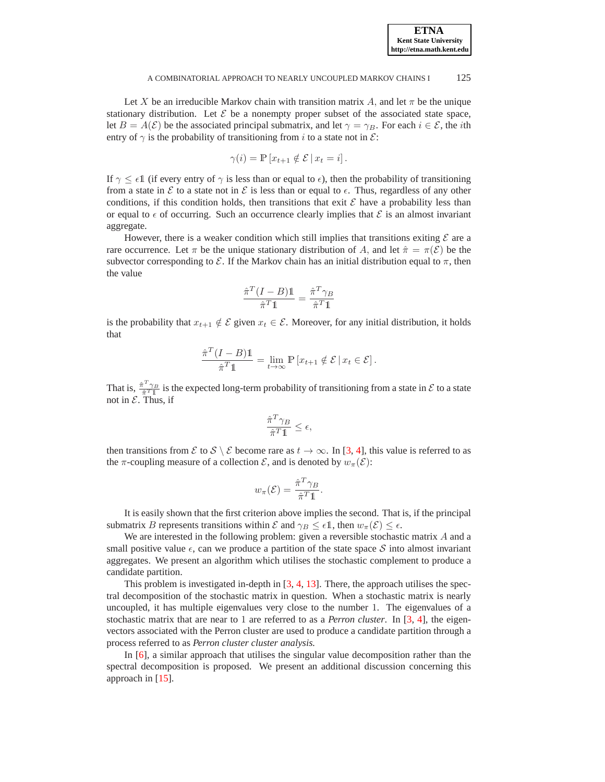Let X be an irreducible Markov chain with transition matrix A, and let  $\pi$  be the unique stationary distribution. Let  $\mathcal E$  be a nonempty proper subset of the associated state space, let  $B = A(\mathcal{E})$  be the associated principal submatrix, and let  $\gamma = \gamma_B$ . For each  $i \in \mathcal{E}$ , the *i*th entry of  $\gamma$  is the probability of transitioning from i to a state not in  $\mathcal{E}$ :

$$
\gamma(i) = \mathbb{P}\left[x_{t+1} \notin \mathcal{E} \,|\, x_t = i\right].
$$

If  $\gamma \leq \epsilon \mathbb{1}$  (if every entry of  $\gamma$  is less than or equal to  $\epsilon$ ), then the probability of transitioning from a state in E to a state not in E is less than or equal to  $\epsilon$ . Thus, regardless of any other conditions, if this condition holds, then transitions that exit  $\mathcal E$  have a probability less than or equal to  $\epsilon$  of occurring. Such an occurrence clearly implies that  $\mathcal E$  is an almost invariant aggregate.

However, there is a weaker condition which still implies that transitions exiting  $\mathcal E$  are a rare occurrence. Let  $\pi$  be the unique stationary distribution of A, and let  $\hat{\pi} = \pi(\mathcal{E})$  be the subvector corresponding to  $\mathcal E$ . If the Markov chain has an initial distribution equal to  $\pi$ , then the value

$$
\frac{\hat{\pi}^T (I - B) \mathbb{1}}{\hat{\pi}^T \mathbb{1}} = \frac{\hat{\pi}^T \gamma_B}{\hat{\pi}^T \mathbb{1}}
$$

is the probability that  $x_{t+1} \notin \mathcal{E}$  given  $x_t \in \mathcal{E}$ . Moreover, for any initial distribution, it holds that

$$
\frac{\hat{\pi}^T (I - B) \mathbb{1}}{\hat{\pi}^T \mathbb{1}} = \lim_{t \to \infty} \mathbb{P} \left[ x_{t+1} \notin \mathcal{E} \, | \, x_t \in \mathcal{E} \right].
$$

That is,  $\frac{\hat{\pi}^T \gamma_B}{\hat{\pi}^T \hat{\mathbf{I}}}$  is the expected long-term probability of transitioning from a state in  $\mathcal E$  to a state not in  $\mathcal E$ . Thus, if

$$
\frac{\hat{\pi}^T\gamma_B}{\hat{\pi}^T\mathbb{1}}\leq \epsilon,
$$

then transitions from  $\mathcal{E}$  to  $\mathcal{S} \setminus \mathcal{E}$  become rare as  $t \to \infty$ . In [\[3,](#page-26-0) [4\]](#page-26-1), this value is referred to as the  $\pi$ -coupling measure of a collection  $\mathcal{E}$ , and is denoted by  $w_{\pi}(\mathcal{E})$ :

$$
w_{\pi}(\mathcal{E}) = \frac{\hat{\pi}^T \gamma_B}{\hat{\pi}^T \mathbb{1}}.
$$

It is easily shown that the first criterion above implies the second. That is, if the principal submatrix B represents transitions within  $\mathcal E$  and  $\gamma_B \leq \epsilon \mathbb{1}$ , then  $w_\pi(\mathcal E) \leq \epsilon$ .

We are interested in the following problem: given a reversible stochastic matrix A and a small positive value  $\epsilon$ , can we produce a partition of the state space S into almost invariant aggregates. We present an algorithm which utilises the stochastic complement to produce a candidate partition.

This problem is investigated in-depth in [\[3,](#page-26-0) [4,](#page-26-1) [13\]](#page-27-3). There, the approach utilises the spectral decomposition of the stochastic matrix in question. When a stochastic matrix is nearly uncoupled, it has multiple eigenvalues very close to the number 1. The eigenvalues of a stochastic matrix that are near to 1 are referred to as a *Perron cluster*. In [\[3,](#page-26-0) [4\]](#page-26-1), the eigenvectors associated with the Perron cluster are used to produce a candidate partition through a process referred to as *Perron cluster cluster analysis.*

In [\[6\]](#page-26-2), a similar approach that utilises the singular value decomposition rather than the spectral decomposition is proposed. We present an additional discussion concerning this approach in [\[15\]](#page-27-4).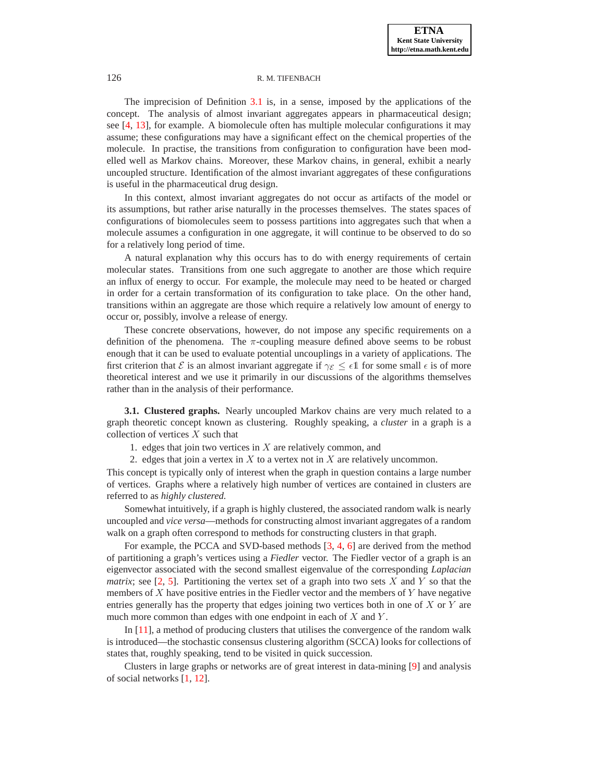The imprecision of Definition [3.1](#page-4-0) is, in a sense, imposed by the applications of the concept. The analysis of almost invariant aggregates appears in pharmaceutical design; see [\[4,](#page-26-1) [13\]](#page-27-3), for example. A biomolecule often has multiple molecular configurations it may assume; these configurations may have a significant effect on the chemical properties of the molecule. In practise, the transitions from configuration to configuration have been modelled well as Markov chains. Moreover, these Markov chains, in general, exhibit a nearly uncoupled structure. Identification of the almost invariant aggregates of these configurations is useful in the pharmaceutical drug design.

In this context, almost invariant aggregates do not occur as artifacts of the model or its assumptions, but rather arise naturally in the processes themselves. The states spaces of configurations of biomolecules seem to possess partitions into aggregates such that when a molecule assumes a configuration in one aggregate, it will continue to be observed to do so for a relatively long period of time.

A natural explanation why this occurs has to do with energy requirements of certain molecular states. Transitions from one such aggregate to another are those which require an influx of energy to occur. For example, the molecule may need to be heated or charged in order for a certain transformation of its configuration to take place. On the other hand, transitions within an aggregate are those which require a relatively low amount of energy to occur or, possibly, involve a release of energy.

These concrete observations, however, do not impose any specific requirements on a definition of the phenomena. The  $\pi$ -coupling measure defined above seems to be robust enough that it can be used to evaluate potential uncouplings in a variety of applications. The first criterion that E is an almost invariant aggregate if  $\gamma_{\mathcal{E}} \leq \epsilon \mathbb{1}$  for some small  $\epsilon$  is of more theoretical interest and we use it primarily in our discussions of the algorithms themselves rather than in the analysis of their performance.

**3.1. Clustered graphs.** Nearly uncoupled Markov chains are very much related to a graph theoretic concept known as clustering. Roughly speaking, a *cluster* in a graph is a collection of vertices  $X$  such that

1. edges that join two vertices in  $X$  are relatively common, and

2. edges that join a vertex in  $X$  to a vertex not in  $X$  are relatively uncommon.

This concept is typically only of interest when the graph in question contains a large number of vertices. Graphs where a relatively high number of vertices are contained in clusters are referred to as *highly clustered.*

Somewhat intuitively, if a graph is highly clustered, the associated random walk is nearly uncoupled and *vice versa*—methods for constructing almost invariant aggregates of a random walk on a graph often correspond to methods for constructing clusters in that graph.

For example, the PCCA and SVD-based methods [\[3,](#page-26-0) [4,](#page-26-1) [6\]](#page-26-2) are derived from the method of partitioning a graph's vertices using a *Fiedler* vector. The Fiedler vector of a graph is an eigenvector associated with the second smallest eigenvalue of the corresponding *Laplacian matrix*; see [\[2,](#page-26-3) [5\]](#page-26-4). Partitioning the vertex set of a graph into two sets X and Y so that the members of  $X$  have positive entries in the Fiedler vector and the members of  $Y$  have negative entries generally has the property that edges joining two vertices both in one of  $X$  or  $Y$  are much more common than edges with one endpoint in each of  $X$  and  $Y$ .

In [\[11\]](#page-27-5), a method of producing clusters that utilises the convergence of the random walk is introduced—the stochastic consensus clustering algorithm (SCCA) looks for collections of states that, roughly speaking, tend to be visited in quick succession.

Clusters in large graphs or networks are of great interest in data-mining [\[9\]](#page-27-6) and analysis of social networks [\[1,](#page-26-5) [12\]](#page-27-7).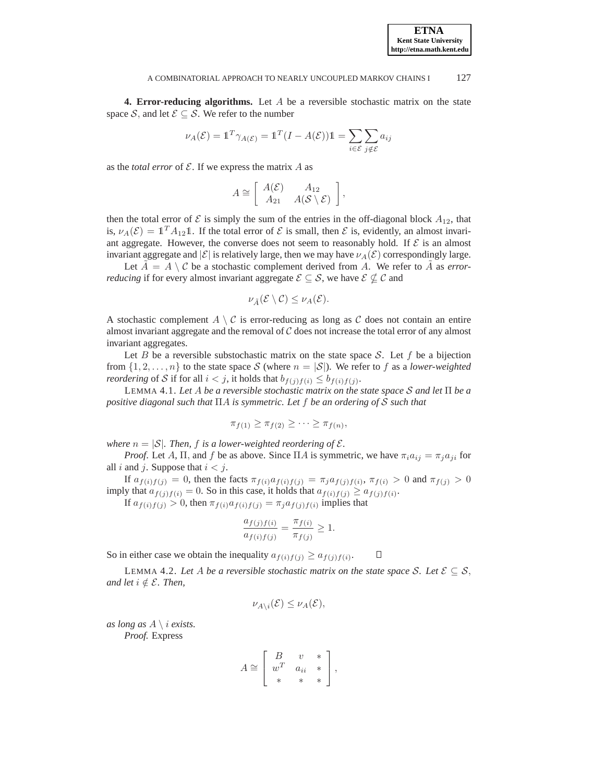**ETNA Kent State University http://etna.math.kent.edu**

<span id="page-7-0"></span>**4. Error-reducing algorithms.** Let A be a reversible stochastic matrix on the state space S, and let  $\mathcal{E} \subseteq \mathcal{S}$ . We refer to the number

$$
\nu_A(\mathcal{E}) = \mathbb{1}^T \gamma_{A(\mathcal{E})} = \mathbb{1}^T (I - A(\mathcal{E})) \mathbb{1} = \sum_{i \in \mathcal{E}} \sum_{j \notin \mathcal{E}} a_{ij}
$$

as the *total error* of  $\mathcal E$ . If we express the matrix  $A$  as

$$
A \cong \left[ \begin{array}{cc} A(\mathcal{E}) & A_{12} \\ A_{21} & A(\mathcal{S} \setminus \mathcal{E}) \end{array} \right],
$$

then the total error of  $\mathcal E$  is simply the sum of the entries in the off-diagonal block  $A_{12}$ , that is,  $\nu_A(\mathcal{E}) = \mathbb{1}^T A_{12} \mathbb{1}$ . If the total error of  $\mathcal E$  is small, then  $\mathcal E$  is, evidently, an almost invariant aggregate. However, the converse does not seem to reasonably hold. If  $\mathcal E$  is an almost invariant aggregate and  $|\mathcal{E}|$  is relatively large, then we may have  $\nu_A(\mathcal{E})$  correspondingly large.

Let  $\hat{A} = A \setminus C$  be a stochastic complement derived from A. We refer to  $\hat{A}$  as *errorreducing* if for every almost invariant aggregate  $\mathcal{E} \subseteq \mathcal{S}$ , we have  $\mathcal{E} \not\subseteq \mathcal{C}$  and

$$
\nu_{\tilde{A}}(\mathcal{E}\setminus\mathcal{C})\leq\nu_A(\mathcal{E}).
$$

A stochastic complement  $A \setminus C$  is error-reducing as long as C does not contain an entire almost invariant aggregate and the removal of  $C$  does not increase the total error of any almost invariant aggregates.

Let B be a reversible substochastic matrix on the state space S. Let f be a bijection from  $\{1, 2, \ldots, n\}$  to the state space S (where  $n = |\mathcal{S}|$ ). We refer to f as a *lower-weighted reordering* of S if for all  $i < j$ , it holds that  $b_{f(j)f(i)} \leq b_{f(i)f(j)}$ .

<span id="page-7-1"></span>LEMMA 4.1. *Let* A *be a reversible stochastic matrix on the state space* S *and let* Π *be a positive diagonal such that* ΠA *is symmetric. Let* f *be an ordering of* S *such that*

$$
\pi_{f(1)} \geq \pi_{f(2)} \geq \cdots \geq \pi_{f(n)},
$$

*where*  $n = |\mathcal{S}|$ *. Then,* f *is a lower-weighted reordering of*  $\mathcal{E}$ *.* 

*Proof.* Let A,  $\Pi$ , and f be as above. Since  $\Pi A$  is symmetric, we have  $\pi_i a_{ij} = \pi_i a_{ji}$  for all i and j. Suppose that  $i < j$ .

If  $a_{f(i)f(j)} = 0$ , then the facts  $\pi_{f(i)} a_{f(i)f(j)} = \pi_j a_{f(j)f(i)}, \pi_{f(i)} > 0$  and  $\pi_{f(j)} > 0$ imply that  $a_{f(j)f(i)} = 0$ . So in this case, it holds that  $a_{f(i)f(j)} \ge a_{f(j)f(i)}$ .

If  $a_{f(i)f(j)} > 0$ , then  $\pi_{f(i)} a_{f(j)f(j)} = \pi_j a_{f(j)f(i)}$  implies that

$$
\frac{a_{f(j)f(i)}}{a_{f(i)f(j)}} = \frac{\pi_{f(i)}}{\pi_{f(j)}} \ge 1.
$$

<span id="page-7-2"></span>So in either case we obtain the inequality  $a_{f(i)f(j)} \ge a_{f(j)f(i)}$ .  $\Box$ 

LEMMA 4.2. Let A be a reversible stochastic matrix on the state space S. Let  $\mathcal{E} \subseteq \mathcal{S}$ , *and let*  $i \notin \mathcal{E}$ *. Then,* 

$$
\nu_{A\setminus i}(\mathcal{E}) \leq \nu_A(\mathcal{E}),
$$

*as long as*  $A \setminus i$  *exists.* 

*Proof.* Express

$$
A \cong \left[ \begin{array}{ccc} B & v & * \\ w^T & a_{ii} & * \\ * & * & * \end{array} \right],
$$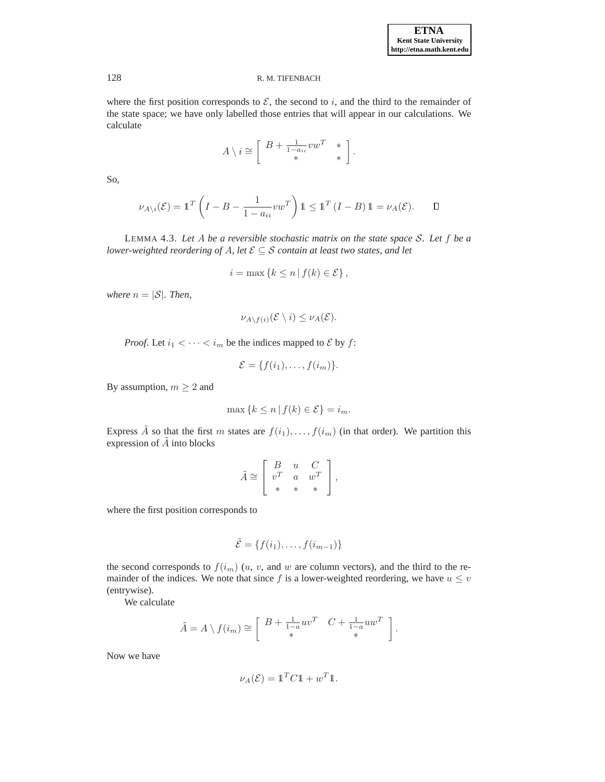where the first position corresponds to  $\mathcal{E}$ , the second to i, and the third to the remainder of the state space; we have only labelled those entries that will appear in our calculations. We calculate

$$
A \setminus i \cong \left[ \begin{array}{cc} B + \frac{1}{1 - a_{ii}}vw^T & * \\ * & * \end{array} \right].
$$

So,

$$
\nu_{A\backslash i}(\mathcal{E}) = \mathbb{1}^T \left( I - B - \frac{1}{1 - a_{ii}} vw^T \right) \mathbb{1} \le \mathbb{1}^T \left( I - B \right) \mathbb{1} = \nu_A(\mathcal{E}). \qquad \Box
$$

<span id="page-8-0"></span>LEMMA 4.3. *Let* A *be a reversible stochastic matrix on the state space* S*. Let* f *be a lower-weighted reordering of A, let*  $\mathcal{E} \subseteq \mathcal{S}$  *contain at least two states, and let* 

$$
i = \max\left\{k \leq n \mid f(k) \in \mathcal{E}\right\},\
$$

*where*  $n = |\mathcal{S}|$ *. Then,* 

$$
\nu_{A\setminus f(i)}(\mathcal{E}\setminus i)\leq \nu_A(\mathcal{E}).
$$

*Proof.* Let  $i_1 < \cdots < i_m$  be the indices mapped to  $\mathcal E$  by  $f$ :

$$
\mathcal{E} = \{f(i_1), \ldots, f(i_m)\}.
$$

By assumption,  $m \geq 2$  and

$$
\max\left\{k \leq n \,|\, f(k) \in \mathcal{E}\right\} = i_m.
$$

Express  $\tilde{A}$  so that the first m states are  $f(i_1), \ldots, f(i_m)$  (in that order). We partition this expression of  $A$  into blocks

$$
\tilde{A} \cong \left[ \begin{array}{ccc} B & u & C \\ v^T & a & w^T \\ * & * & * \end{array} \right],
$$

where the first position corresponds to

$$
\tilde{\mathcal{E}} = \{f(i_1), \ldots, f(i_{m-1})\}
$$

the second corresponds to  $f(i_m)$   $(u, v,$  and w are column vectors), and the third to the remainder of the indices. We note that since f is a lower-weighted reordering, we have  $u \leq v$ (entrywise).

We calculate

$$
\tilde{A} = A \setminus f(i_m) \cong \left[ \begin{array}{cc} B + \frac{1}{1-a} u v^T & C + \frac{1}{1-a} u w^T \\ * & * \end{array} \right].
$$

Now we have

$$
\nu_A(\mathcal{E}) = \mathbb{1}^T C \mathbb{1} + w^T \mathbb{1}.
$$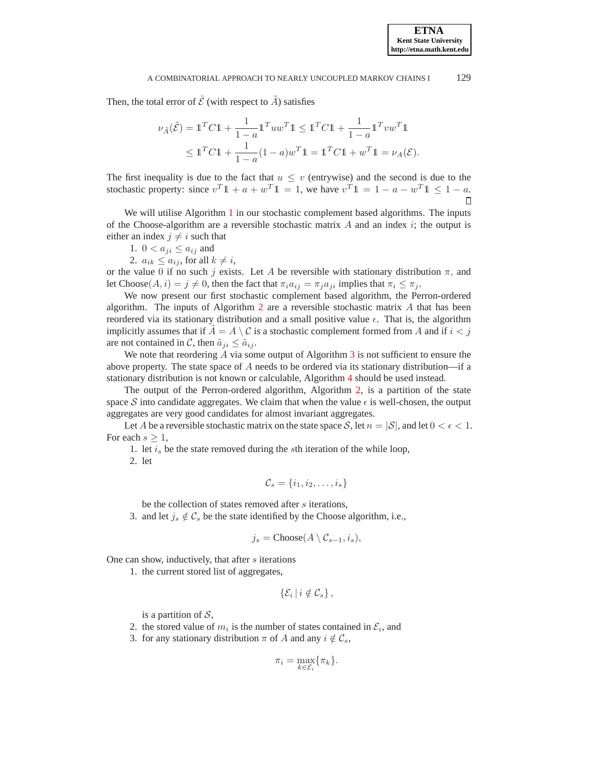Then, the total error of  $\tilde{\mathcal{E}}$  (with respect to  $\tilde{A}$ ) satisfies

$$
\nu_{\tilde{A}}(\tilde{\mathcal{E}}) = \mathbb{1}^T C \mathbb{1} + \frac{1}{1-a} \mathbb{1}^T u w^T \mathbb{1} \le \mathbb{1}^T C \mathbb{1} + \frac{1}{1-a} \mathbb{1}^T v w^T \mathbb{1}
$$
  

$$
\le \mathbb{1}^T C \mathbb{1} + \frac{1}{1-a} (1-a) w^T \mathbb{1} = \mathbb{1}^T C \mathbb{1} + w^T \mathbb{1} = \nu_A(\mathcal{E}).
$$

The first inequality is due to the fact that  $u \leq v$  (entrywise) and the second is due to the stochastic property: since  $v^T \mathbb{1} + a + w^T \mathbb{1} = 1$ , we have  $v^T \mathbb{1} = 1 - a - w^T \mathbb{1} \leq 1 - a$ .

We will utilise Algorithm [1](#page-10-0) in our stochastic complement based algorithms. The inputs of the Choose-algorithm are a reversible stochastic matrix  $\vec{A}$  and an index  $\hat{i}$ ; the output is either an index  $j \neq i$  such that

- 1.  $0 < a_{ji} \leq a_{ij}$  and
- 2.  $a_{ik} \leq a_{ij}$ , for all  $k \neq i$ ,

or the value 0 if no such j exists. Let A be reversible with stationary distribution  $\pi$ , and let Choose $(A, i) = j \neq 0$ , then the fact that  $\pi_i a_{ij} = \pi_j a_{ji}$  implies that  $\pi_i \leq \pi_j$ .

We now present our first stochastic complement based algorithm, the Perron-ordered algorithm. The inputs of Algorithm [2](#page-10-1) are a reversible stochastic matrix  $A$  that has been reordered via its stationary distribution and a small positive value  $\epsilon$ . That is, the algorithm implicitly assumes that if  $A = A \setminus C$  is a stochastic complement formed from A and if  $i < j$ are not contained in C, then  $\tilde{a}_{ii} \leq \tilde{a}_{ii}$ .

We note that reordering  $\vec{A}$  via some output of Algorithm [3](#page-11-0) is not sufficient to ensure the above property. The state space of  $A$  needs to be ordered via its stationary distribution—if a stationary distribution is not known or calculable, Algorithm [4](#page-12-1) should be used instead.

The output of the Perron-ordered algorithm, Algorithm [2,](#page-10-1) is a partition of the state space S into candidate aggregates. We claim that when the value  $\epsilon$  is well-chosen, the output aggregates are very good candidates for almost invariant aggregates.

Let A be a reversible stochastic matrix on the state space S, let  $n = |\mathcal{S}|$ , and let  $0 < \epsilon < 1$ . For each  $s \geq 1$ ,

1. let  $i_s$  be the state removed during the sth iteration of the while loop,

2. let

$$
\mathcal{C}_s = \{i_1, i_2, \dots, i_s\}
$$

be the collection of states removed after s iterations,

3. and let  $j_s \notin \mathcal{C}_s$  be the state identified by the Choose algorithm, i.e.,

$$
j_s = \text{Choose}(A \setminus C_{s-1}, i_s),
$$

One can show, inductively, that after s iterations

1. the current stored list of aggregates,

$$
\{\mathcal{E}_i\,|\,i\notin\mathcal{C}_s\}\,,
$$

is a partition of  $S$ ,

- 2. the stored value of  $m_i$  is the number of states contained in  $\mathcal{E}_i$ , and
- 3. for any stationary distribution  $\pi$  of A and any  $i \notin \mathcal{C}_s$ ,

$$
\pi_i = \max_{k \in \mathcal{E}_i} \{ \pi_k \}.
$$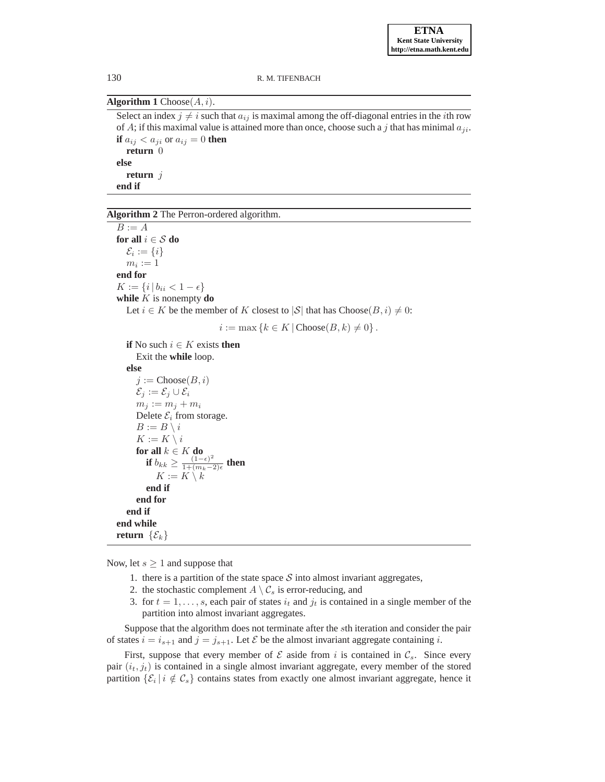# <span id="page-10-0"></span>**Algorithm 1** Choose $(A, i)$ .

Select an index  $j \neq i$  such that  $a_{ij}$  is maximal among the off-diagonal entries in the *i*th row of A; if this maximal value is attained more than once, choose such a j that has minimal  $a_{ii}$ . **if**  $a_{ij} < a_{ji}$  or  $a_{ij} = 0$  **then return** 0 **else return** j **end if**

# <span id="page-10-1"></span>**Algorithm 2** The Perron-ordered algorithm.

 $B := A$ **for all**  $i \in S$  **do**  $\mathcal{E}_i := \{i\}$  $m_i := 1$ **end for**  $K := \{i | b_{ii} < 1 - \epsilon\}$ **while**  $K$  is nonempty **do** Let  $i \in K$  be the member of K closest to  $|S|$  that has  $Choose(B, i) \neq 0$ :  $i := \max \{k \in K \mid \text{Choose}(B, k) \neq 0\}.$ **if** No such  $i \in K$  exists **then** Exit the **while** loop. **else**  $j := \text{Choose}(B, i)$  $\mathcal{E}_i := \mathcal{E}_i \cup \mathcal{E}_i$  $m_j := m_j + m_i$ Delete  $\mathcal{E}_i$  from storage.  $B := B \setminus i$  $K := K \setminus i$ **for all**  $k \in K$  **do if**  $b_{kk} \geq \frac{(1-\epsilon)^2}{1+(m_k-\epsilon)}$  $\frac{(1-\epsilon)^2}{1+(m_k-2)\epsilon}$  then  $K := K \setminus \overline{k}$ **end if end for end if end while return**  $\{\mathcal{E}_k\}$ 

Now, let  $s \geq 1$  and suppose that

- 1. there is a partition of the state space  $S$  into almost invariant aggregates,
- 2. the stochastic complement  $A \setminus C_s$  is error-reducing, and
- 3. for  $t = 1, \ldots, s$ , each pair of states  $i_t$  and  $j_t$  is contained in a single member of the partition into almost invariant aggregates.

Suppose that the algorithm does not terminate after the sth iteration and consider the pair of states  $i = i_{s+1}$  and  $j = j_{s+1}$ . Let  $\mathcal E$  be the almost invariant aggregate containing i.

First, suppose that every member of  $\mathcal E$  aside from i is contained in  $\mathcal C_s$ . Since every pair  $(i_t, j_t)$  is contained in a single almost invariant aggregate, every member of the stored partition  $\{\mathcal{E}_i | i \notin \mathcal{C}_s\}$  contains states from exactly one almost invariant aggregate, hence it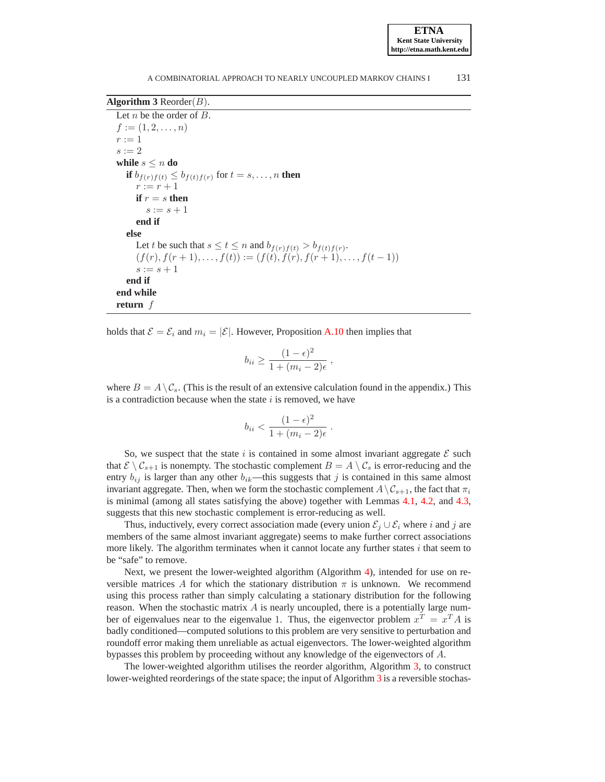**ETNA Kent State University http://etna.math.kent.edu**

# <span id="page-11-0"></span>**Algorithm 3** Reorder $(B)$ .

```
Let n be the order of B.
f := (1, 2, \ldots, n)r := 1s := 2while s \leq n do
   if b_{f(r)f(t)} \leq b_{f(t)f(r)} for t = s, \ldots, n then
     r := r + 1if r = s then
        s := s + 1end if
  else
     Let t be such that s \le t \le n and b_{f(r)f(t)} > b_{f(t)f(r)}.
     (f(r), f(r+1), \ldots, f(t)) := (f(t), f(r), f(r+1), \ldots, f(t-1))s := s + 1end if
end while
return f
```
holds that  $\mathcal{E} = \mathcal{E}_i$  and  $m_i = |\mathcal{E}|$ . However, Proposition [A.10](#page-26-6) then implies that

$$
b_{ii} \ge \frac{(1-\epsilon)^2}{1+(m_i-2)\epsilon},
$$

where  $B = A \setminus C_s$ . (This is the result of an extensive calculation found in the appendix.) This is a contradiction because when the state  $i$  is removed, we have

$$
b_{ii} < \frac{(1 - \epsilon)^2}{1 + (m_i - 2)\epsilon} \ .
$$

So, we suspect that the state i is contained in some almost invariant aggregate  $\mathcal E$  such that  $\mathcal{E} \setminus \mathcal{C}_{s+1}$  is nonempty. The stochastic complement  $B = A \setminus \mathcal{C}_s$  is error-reducing and the entry  $b_{ij}$  is larger than any other  $b_{ik}$ —this suggests that j is contained in this same almost invariant aggregate. Then, when we form the stochastic complement  $A \setminus C_{s+1}$ , the fact that  $\pi_i$ is minimal (among all states satisfying the above) together with Lemmas [4.1,](#page-7-1) [4.2,](#page-7-2) and [4.3,](#page-8-0) suggests that this new stochastic complement is error-reducing as well.

Thus, inductively, every correct association made (every union  $\mathcal{E}_i \cup \mathcal{E}_i$  where i and j are members of the same almost invariant aggregate) seems to make further correct associations more likely. The algorithm terminates when it cannot locate any further states  $i$  that seem to be "safe" to remove.

Next, we present the lower-weighted algorithm (Algorithm [4\)](#page-12-1), intended for use on reversible matrices A for which the stationary distribution  $\pi$  is unknown. We recommend using this process rather than simply calculating a stationary distribution for the following reason. When the stochastic matrix  $A$  is nearly uncoupled, there is a potentially large number of eigenvalues near to the eigenvalue 1. Thus, the eigenvector problem  $x^T = x^T A$  is badly conditioned—computed solutions to this problem are very sensitive to perturbation and roundoff error making them unreliable as actual eigenvectors. The lower-weighted algorithm bypasses this problem by proceeding without any knowledge of the eigenvectors of A.

The lower-weighted algorithm utilises the reorder algorithm, Algorithm [3,](#page-11-0) to construct lower-weighted reorderings of the state space; the input of Algorithm [3](#page-11-0) is a reversible stochas-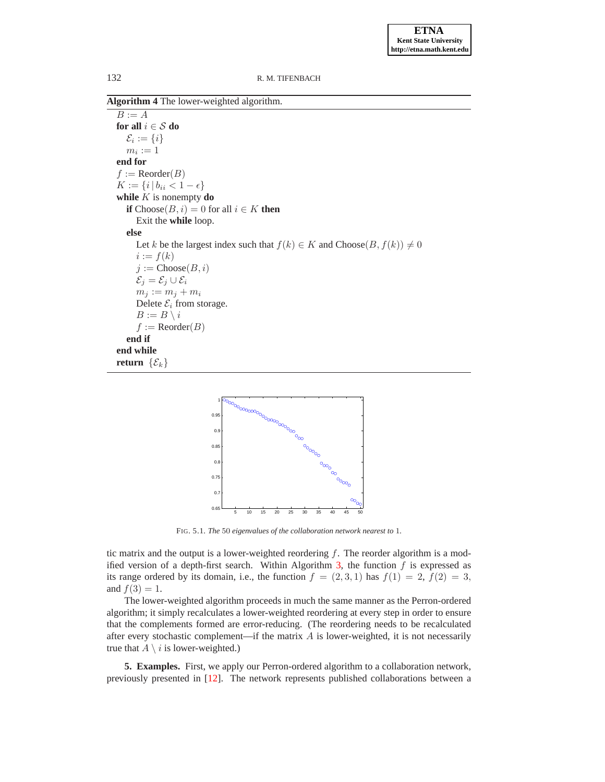<span id="page-12-1"></span>**Algorithm 4** The lower-weighted algorithm.

 $B := A$ **for all**  $i \in S$  **do**  $\mathcal{E}_i := \{i\}$  $m_i := 1$ **end for**  $f := \text{Reorder}(B)$  $K := \{i \, | \, b_{ii} < 1 - \epsilon\}$ **while**  $K$  is nonempty **do if**  $Choose(B, i) = 0$  for all  $i \in K$  **then** Exit the **while** loop. **else** Let k be the largest index such that  $f(k) \in K$  and  $Choose(B, f(k)) \neq 0$  $i := f(k)$  $i := \text{Choose}(B, i)$  $\mathcal{E}_i = \mathcal{E}_i \cup \mathcal{E}_i$  $m_j := m_j + m_i$ Delete  $\mathcal{E}_i$  from storage.  $B := B \setminus i$  $f := \text{Reorder}(B)$ **end if end while return**  $\{\mathcal{E}_k\}$ 



<span id="page-12-2"></span>FIG. 5.1. *The* 50 *eigenvalues of the collaboration network nearest to* 1*.*

tic matrix and the output is a lower-weighted reordering  $f$ . The reorder algorithm is a mod-ified version of a depth-first search. Within Algorithm [3,](#page-11-0) the function  $f$  is expressed as its range ordered by its domain, i.e., the function  $f = (2, 3, 1)$  has  $f(1) = 2$ ,  $f(2) = 3$ , and  $f(3) = 1$ .

The lower-weighted algorithm proceeds in much the same manner as the Perron-ordered algorithm; it simply recalculates a lower-weighted reordering at every step in order to ensure that the complements formed are error-reducing. (The reordering needs to be recalculated after every stochastic complement—if the matrix  $A$  is lower-weighted, it is not necessarily true that  $A \setminus i$  is lower-weighted.)

<span id="page-12-0"></span>**5. Examples.** First, we apply our Perron-ordered algorithm to a collaboration network, previously presented in [\[12\]](#page-27-7). The network represents published collaborations between a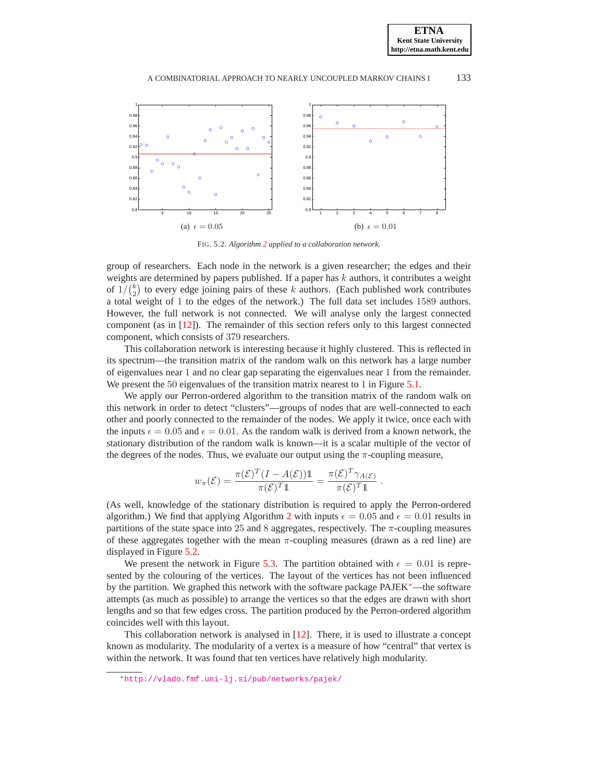

<span id="page-13-0"></span>FIG. 5.2. *Algorithm [2](#page-10-1) applied to a collaboration network.*

group of researchers. Each node in the network is a given researcher; the edges and their weights are determined by papers published. If a paper has  $k$  authors, it contributes a weight of  $1/\binom{k}{2}$  to every edge joining pairs of these k authors. (Each published work contributes a total weight of 1 to the edges of the network.) The full data set includes 1589 authors. However, the full network is not connected. We will analyse only the largest connected component (as in [\[12\]](#page-27-7)). The remainder of this section refers only to this largest connected component, which consists of 379 researchers.

This collaboration network is interesting because it highly clustered. This is reflected in its spectrum—the transition matrix of the random walk on this network has a large number of eigenvalues near 1 and no clear gap separating the eigenvalues near 1 from the remainder. We present the 50 eigenvalues of the transition matrix nearest to 1 in Figure [5.1.](#page-12-2)

We apply our Perron-ordered algorithm to the transition matrix of the random walk on this network in order to detect "clusters"—groups of nodes that are well-connected to each other and poorly connected to the remainder of the nodes. We apply it twice, once each with the inputs  $\epsilon = 0.05$  and  $\epsilon = 0.01$ . As the random walk is derived from a known network, the stationary distribution of the random walk is known—it is a scalar multiple of the vector of the degrees of the nodes. Thus, we evaluate our output using the  $\pi$ -coupling measure,

$$
w_{\pi}(\mathcal{E}) = \frac{\pi(\mathcal{E})^T (I - A(\mathcal{E})) \mathbb{1}}{\pi(\mathcal{E})^T \mathbb{1}} = \frac{\pi(\mathcal{E})^T \gamma_{A(\mathcal{E})}}{\pi(\mathcal{E})^T \mathbb{1}}
$$

.

(As well, knowledge of the stationary distribution is required to apply the Perron-ordered algorithm.) We find that applying Algorithm [2](#page-10-1) with inputs  $\epsilon = 0.05$  and  $\epsilon = 0.01$  results in partitions of the state space into 25 and 8 aggregates, respectively. The  $\pi$ -coupling measures of these aggregates together with the mean  $\pi$ -coupling measures (drawn as a red line) are displayed in Figure [5.2.](#page-13-0)

We present the network in Figure [5.3.](#page-14-0) The partition obtained with  $\epsilon = 0.01$  is represented by the colouring of the vertices. The layout of the vertices has not been influenced by the partition. We graphed this network with the software package PAJEK[∗](#page-13-1)—the software attempts (as much as possible) to arrange the vertices so that the edges are drawn with short lengths and so that few edges cross. The partition produced by the Perron-ordered algorithm coincides well with this layout.

This collaboration network is analysed in [\[12\]](#page-27-7). There, it is used to illustrate a concept known as modularity. The modularity of a vertex is a measure of how "central" that vertex is within the network. It was found that ten vertices have relatively high modularity.

<span id="page-13-1"></span><sup>∗</sup><http://vlado.fmf.uni-lj.si/pub/networks/pajek/>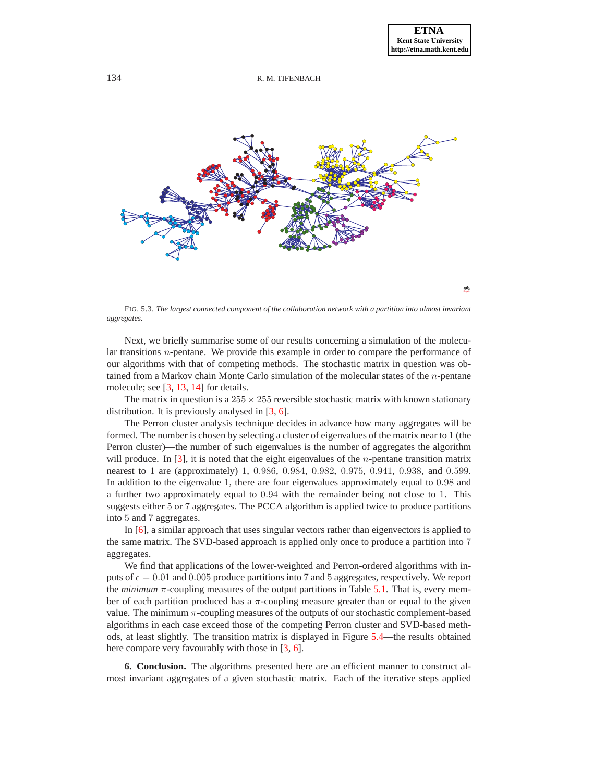

<span id="page-14-0"></span>FIG. 5.3. *The largest connected component of the collaboration network with a partition into almost invariant aggregates.*

Next, we briefly summarise some of our results concerning a simulation of the molecular transitions  $n$ -pentane. We provide this example in order to compare the performance of our algorithms with that of competing methods. The stochastic matrix in question was obtained from a Markov chain Monte Carlo simulation of the molecular states of the n-pentane molecule; see [\[3,](#page-26-0) [13,](#page-27-3) [14\]](#page-27-0) for details.

The matrix in question is a  $255 \times 255$  reversible stochastic matrix with known stationary distribution. It is previously analysed in [\[3,](#page-26-0) [6\]](#page-26-2).

The Perron cluster analysis technique decides in advance how many aggregates will be formed. The number is chosen by selecting a cluster of eigenvalues of the matrix near to 1 (the Perron cluster)—the number of such eigenvalues is the number of aggregates the algorithm will produce. In  $[3]$ , it is noted that the eight eigenvalues of the *n*-pentane transition matrix nearest to 1 are (approximately) 1, 0.986, 0.984, 0.982, 0.975, 0.941, 0.938, and 0.599. In addition to the eigenvalue 1, there are four eigenvalues approximately equal to 0.98 and a further two approximately equal to 0.94 with the remainder being not close to 1. This suggests either 5 or 7 aggregates. The PCCA algorithm is applied twice to produce partitions into 5 and 7 aggregates.

In [\[6\]](#page-26-2), a similar approach that uses singular vectors rather than eigenvectors is applied to the same matrix. The SVD-based approach is applied only once to produce a partition into 7 aggregates.

We find that applications of the lower-weighted and Perron-ordered algorithms with inputs of  $\epsilon = 0.01$  and 0.005 produce partitions into 7 and 5 aggregates, respectively. We report the *minimum*  $\pi$ -coupling measures of the output partitions in Table [5.1.](#page-15-0) That is, every member of each partition produced has a  $\pi$ -coupling measure greater than or equal to the given value. The minimum  $\pi$ -coupling measures of the outputs of our stochastic complement-based algorithms in each case exceed those of the competing Perron cluster and SVD-based methods, at least slightly. The transition matrix is displayed in Figure [5.4—](#page-15-1)the results obtained here compare very favourably with those in [\[3,](#page-26-0) [6\]](#page-26-2).

**6. Conclusion.** The algorithms presented here are an efficient manner to construct almost invariant aggregates of a given stochastic matrix. Each of the iterative steps applied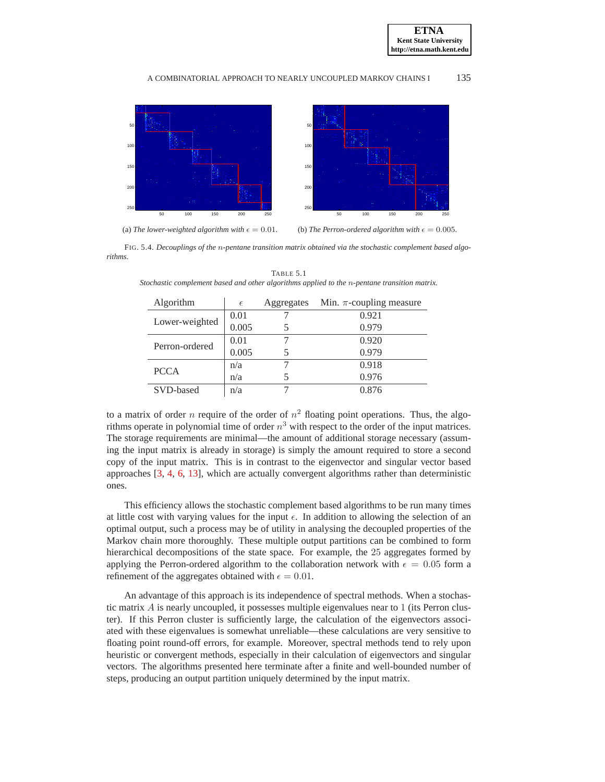



FIG. 5.4. *Decouplings of the* n*-pentane transition matrix obtained via the stochastic complement based algorithms.*

<span id="page-15-0"></span>

| Algorithm      | $\epsilon$ | Aggregates | Min. $\pi$ -coupling measure |
|----------------|------------|------------|------------------------------|
| Lower-weighted | 0.01       |            | 0.921                        |
|                | 0.005      |            | 0.979                        |
| Perron-ordered | 0.01       |            | 0.920                        |
|                | 0.005      |            | 0.979                        |
| <b>PCCA</b>    | n/a        |            | 0.918                        |
|                | n/a        |            | 0.976                        |
| SVD-based      | n/a        |            | 0.876                        |

<span id="page-15-1"></span>TABLE 5.1 *Stochastic complement based and other algorithms applied to the* n*-pentane transition matrix.*

to a matrix of order *n* require of the order of  $n^2$  floating point operations. Thus, the algorithms operate in polynomial time of order  $n^3$  with respect to the order of the input matrices. The storage requirements are minimal—the amount of additional storage necessary (assuming the input matrix is already in storage) is simply the amount required to store a second copy of the input matrix. This is in contrast to the eigenvector and singular vector based approaches [\[3,](#page-26-0) [4,](#page-26-1) [6,](#page-26-2) [13\]](#page-27-3), which are actually convergent algorithms rather than deterministic ones.

This efficiency allows the stochastic complement based algorithms to be run many times at little cost with varying values for the input  $\epsilon$ . In addition to allowing the selection of an optimal output, such a process may be of utility in analysing the decoupled properties of the Markov chain more thoroughly. These multiple output partitions can be combined to form hierarchical decompositions of the state space. For example, the 25 aggregates formed by applying the Perron-ordered algorithm to the collaboration network with  $\epsilon = 0.05$  form a refinement of the aggregates obtained with  $\epsilon = 0.01$ .

An advantage of this approach is its independence of spectral methods. When a stochastic matrix  $A$  is nearly uncoupled, it possesses multiple eigenvalues near to  $1$  (its Perron cluster). If this Perron cluster is sufficiently large, the calculation of the eigenvectors associated with these eigenvalues is somewhat unreliable—these calculations are very sensitive to floating point round-off errors, for example. Moreover, spectral methods tend to rely upon heuristic or convergent methods, especially in their calculation of eigenvectors and singular vectors. The algorithms presented here terminate after a finite and well-bounded number of steps, producing an output partition uniquely determined by the input matrix.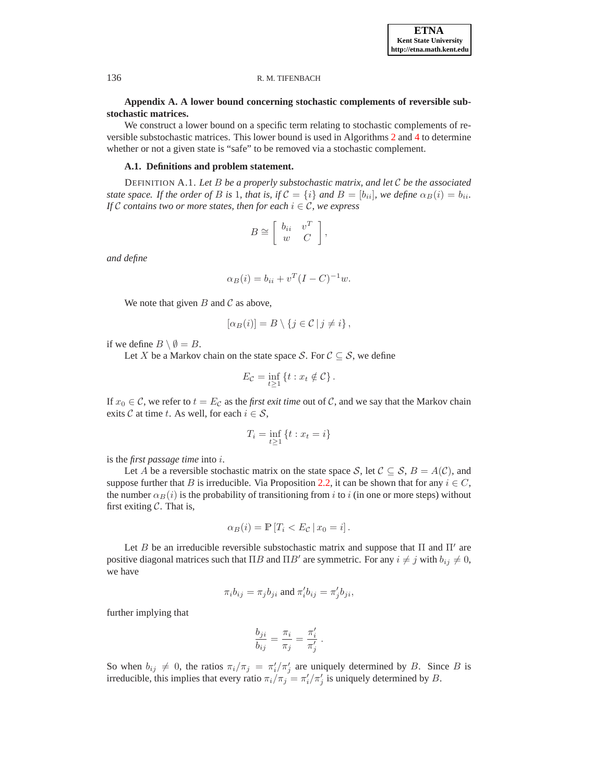# **Appendix A. A lower bound concerning stochastic complements of reversible substochastic matrices.**

We construct a lower bound on a specific term relating to stochastic complements of reversible substochastic matrices. This lower bound is used in Algorithms [2](#page-10-1) and [4](#page-12-1) to determine whether or not a given state is "safe" to be removed via a stochastic complement.

## **A.1. Definitions and problem statement.**

DEFINITION A.1. *Let* B *be a properly substochastic matrix, and let* C *be the associated state space. If the order of* B *is* 1*, that is, if*  $C = \{i\}$  *and*  $B = [b_{ii}]$ *, we define*  $\alpha_B(i) = b_{ii}$ *. If*  $C$  *contains two or more states, then for each*  $i \in C$ *, we express* 

$$
B \cong \left[ \begin{array}{cc} b_{ii} & v^T \\ w & C \end{array} \right],
$$

*and define*

$$
\alpha_B(i) = b_{ii} + v^T (I - C)^{-1} w.
$$

We note that given  $B$  and  $C$  as above,

$$
[\alpha_B(i)] = B \setminus \{j \in \mathcal{C} \mid j \neq i\},\
$$

if we define  $B \setminus \emptyset = B$ .

Let X be a Markov chain on the state space S. For  $\mathcal{C} \subseteq \mathcal{S}$ , we define

$$
E_{\mathcal{C}} = \inf_{t \ge 1} \{ t : x_t \notin \mathcal{C} \}.
$$

If  $x_0 \in \mathcal{C}$ , we refer to  $t = E_{\mathcal{C}}$  as the *first exit time* out of  $\mathcal{C}$ , and we say that the Markov chain exits C at time t. As well, for each  $i \in \mathcal{S}$ ,

$$
T_i = \inf_{t \ge 1} \{ t : x_t = i \}
$$

is the *first passage time* into i.

Let A be a reversible stochastic matrix on the state space S, let  $C \subseteq S$ ,  $B = A(C)$ , and suppose further that B is irreducible. Via Proposition [2.2,](#page-3-0) it can be shown that for any  $i \in C$ , the number  $\alpha_B(i)$  is the probability of transitioning from i to i (in one or more steps) without first exiting  $C$ . That is,

$$
\alpha_B(i) = \mathbb{P}\left[T_i < E_{\mathcal{C}} \,|\, x_0 = i\right].
$$

Let B be an irreducible reversible substochastic matrix and suppose that  $\Pi$  and  $\Pi'$  are positive diagonal matrices such that  $\Pi B$  and  $\Pi B'$  are symmetric. For any  $i \neq j$  with  $b_{ij} \neq 0$ , we have

$$
\pi_i b_{ij} = \pi_j b_{ji}
$$
 and 
$$
\pi'_i b_{ij} = \pi'_j b_{ji}
$$
,

further implying that

$$
\frac{b_{ji}}{b_{ij}} = \frac{\pi_i}{\pi_j} = \frac{\pi'_i}{\pi'_j} .
$$

So when  $b_{ij} \neq 0$ , the ratios  $\pi_i/\pi_j = \pi'_i/\pi'_j$  are uniquely determined by B. Since B is irreducible, this implies that every ratio  $\pi_i/\pi_j = \pi'_i/\pi'_j$  is uniquely determined by B.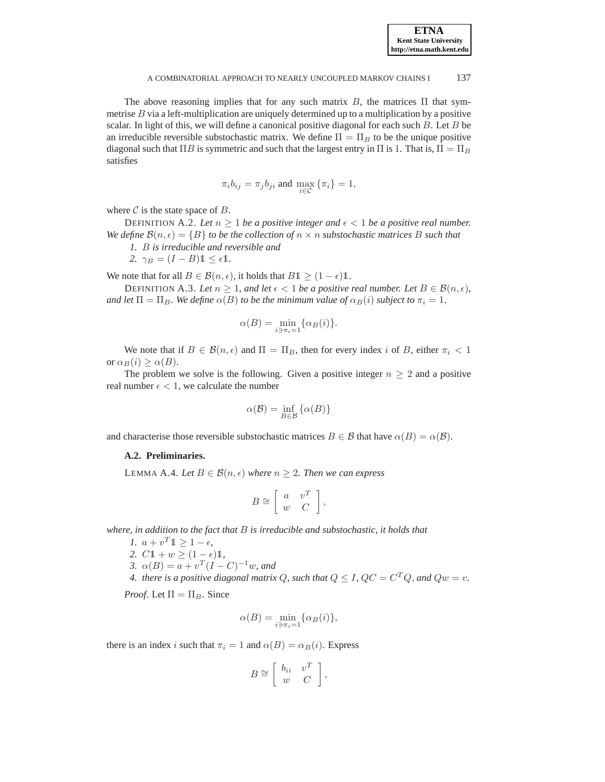The above reasoning implies that for any such matrix  $B$ , the matrices  $\Pi$  that symmetrise  $B$  via a left-multiplication are uniquely determined up to a multiplication by a positive scalar. In light of this, we will define a canonical positive diagonal for each such  $B$ . Let  $B$  be an irreducible reversible substochastic matrix. We define  $\Pi = \Pi_B$  to be the unique positive diagonal such that  $\Pi B$  is symmetric and such that the largest entry in  $\Pi$  is 1. That is,  $\Pi = \Pi_B$ satisfies

$$
\pi_i b_{ij} = \pi_j b_{ji}
$$
 and 
$$
\max_{i \in \mathcal{C}} \{\pi_i\} = 1,
$$

where  $C$  is the state space of  $B$ .

DEFINITION A.2. Let  $n \geq 1$  be a positive integer and  $\epsilon < 1$  be a positive real number. *We define*  $\mathcal{B}(n, \epsilon) = \{B\}$  *to be the collection of*  $n \times n$  *substochastic matrices* B *such that* 

*1.* B *is irreducible and reversible and*

$$
2. \ \gamma_B = (I - B) \mathbb{1} \le \epsilon \mathbb{1}.
$$

We note that for all  $B \in \mathcal{B}(n, \epsilon)$ , it holds that  $B1 \geq (1 - \epsilon)1$ .

DEFINITION A.3. Let  $n \geq 1$ , and let  $\epsilon < 1$  be a positive real number. Let  $B \in \mathcal{B}(n, \epsilon)$ , *and let*  $\Pi = \Pi_B$ *. We define*  $\alpha(B)$  *to be the minimum value of*  $\alpha_B(i)$  *subject to*  $\pi_i = 1$ *,* 

$$
\alpha(B) = \min_{i \ni \pi_i = 1} \{ \alpha_B(i) \}.
$$

We note that if  $B \in \mathcal{B}(n, \epsilon)$  and  $\Pi = \Pi_B$ , then for every index i of B, either  $\pi_i < 1$ or  $\alpha_B(i) \geq \alpha(B)$ .

The problem we solve is the following. Given a positive integer  $n \geq 2$  and a positive real number  $\epsilon$  < 1, we calculate the number

$$
\alpha(\mathcal{B}) = \inf_{B \in \mathcal{B}} \{ \alpha(B) \}
$$

and characterise those reversible substochastic matrices  $B \in \mathcal{B}$  that have  $\alpha(B) = \alpha(B)$ .

# **A.2. Preliminaries.**

LEMMA A.4. Let  $B \in \mathcal{B}(n, \epsilon)$  where  $n \geq 2$ . Then we can express

<span id="page-17-0"></span>
$$
B \cong \left[ \begin{array}{cc} a & v^T \\ w & C \end{array} \right],
$$

*where, in addition to the fact that* B *is irreducible and substochastic, it holds that*

- *1.*  $a + v^T 1 \ge 1 \epsilon$ ,
- 2.  $C1 + w \ge (1 \epsilon)1$ ,
- 3.  $\alpha(B) = a + v^T (I C)^{-1} w$ , and

4. there is a positive diagonal matrix  $Q$ , such that  $Q \leq I$ ,  $QC = C^TQ$ , and  $Qw = v$ .

*Proof.* Let  $\Pi = \Pi_B$ . Since

$$
\alpha(B) = \min_{i \ni \pi_i = 1} \{ \alpha_B(i) \},
$$

there is an index i such that  $\pi_i = 1$  and  $\alpha(B) = \alpha_B(i)$ . Express

$$
B \cong \left[ \begin{array}{cc} b_{ii} & v^T \\ w & C \end{array} \right],
$$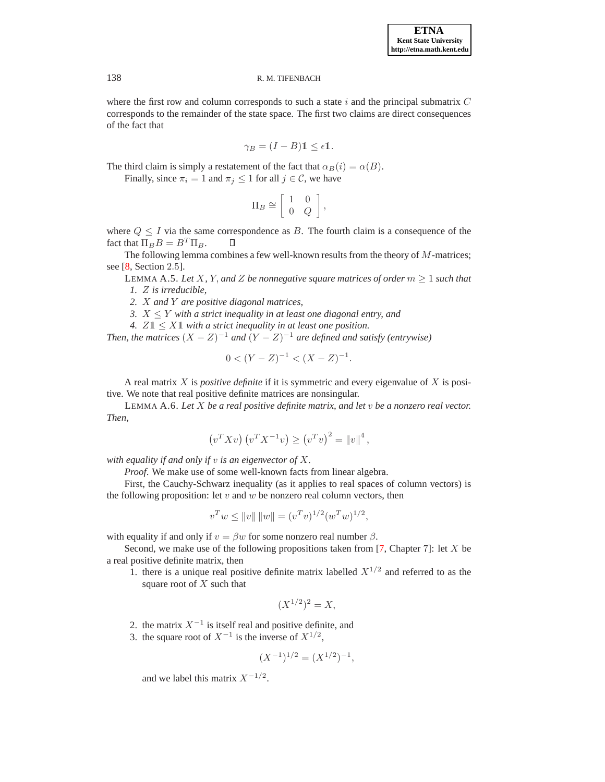where the first row and column corresponds to such a state  $i$  and the principal submatrix  $C$ corresponds to the remainder of the state space. The first two claims are direct consequences of the fact that

$$
\gamma_B = (I - B)\mathbb{1} \le \epsilon \mathbb{1}.
$$

The third claim is simply a restatement of the fact that  $\alpha_B(i) = \alpha(B)$ .

Finally, since  $\pi_i = 1$  and  $\pi_j \leq 1$  for all  $j \in \mathcal{C}$ , we have

$$
\Pi_B \cong \left[ \begin{array}{cc} 1 & 0 \\ 0 & Q \end{array} \right],
$$

where  $Q \leq I$  via the same correspondence as B. The fourth claim is a consequence of the fact that  $\Pi_B B = B^T \Pi_B$ .  $\Box$ 

<span id="page-18-0"></span>The following lemma combines a few well-known results from the theory of  $M$ -matrices; see [\[8,](#page-26-7) Section 2.5].

LEMMA A.5. Let X, Y, and Z be nonnegative square matrices of order  $m \geq 1$  such that *1.* Z *is irreducible,*

*2.* X *and* Y *are positive diagonal matrices,*

*3.*  $X \leq Y$  *with a strict inequality in at least one diagonal entry, and* 

*4.*  $Z1 \leq X1$  *with a strict inequality in at least one position.* 

*Then, the matrices*  $(X - Z)^{-1}$  *and*  $(Y - Z)^{-1}$  *are defined and satisfy (entrywise)* 

$$
0 < (Y - Z)^{-1} < (X - Z)^{-1}.
$$

A real matrix X is *positive definite* if it is symmetric and every eigenvalue of X is positive. We note that real positive definite matrices are nonsingular.

<span id="page-18-1"></span>LEMMA A.6. *Let* X *be a real positive definite matrix, and let* v *be a nonzero real vector. Then,*

$$
(v^T X v) (v^T X^{-1} v) \ge (v^T v)^2 = ||v||^4
$$
,

*with equality if and only if* v *is an eigenvector of* X*.*

*Proof*. We make use of some well-known facts from linear algebra.

First, the Cauchy-Schwarz inequality (as it applies to real spaces of column vectors) is the following proposition: let  $v$  and  $w$  be nonzero real column vectors, then

$$
v^T w \le ||v|| \, ||w|| = (v^T v)^{1/2} (w^T w)^{1/2},
$$

with equality if and only if  $v = \beta w$  for some nonzero real number  $\beta$ .

Second, we make use of the following propositions taken from  $[7,$  Chapter 7]: let X be a real positive definite matrix, then

1. there is a unique real positive definite matrix labelled  $X^{1/2}$  and referred to as the square root of  $X$  such that

$$
(X^{1/2})^2 = X,
$$

- 2. the matrix  $X^{-1}$  is itself real and positive definite, and
- 3. the square root of  $X^{-1}$  is the inverse of  $X^{1/2}$ ,

$$
(X^{-1})^{1/2} = (X^{1/2})^{-1},
$$

and we label this matrix  $X^{-1/2}$ .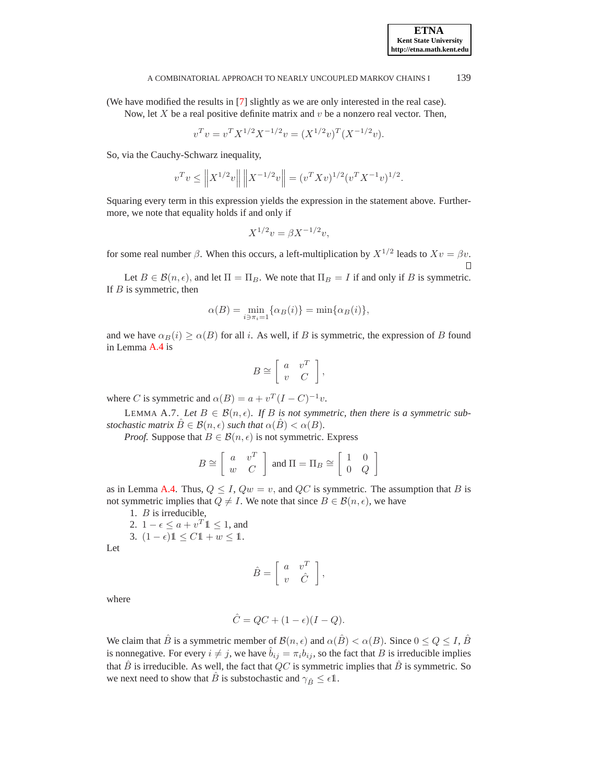(We have modified the results in [\[7\]](#page-26-8) slightly as we are only interested in the real case). Now, let  $X$  be a real positive definite matrix and  $v$  be a nonzero real vector. Then,

$$
v^T v = v^T X^{1/2} X^{-1/2} v = (X^{1/2} v)^T (X^{-1/2} v).
$$

So, via the Cauchy-Schwarz inequality,

$$
v^T v \leq \left\| X^{1/2} v \right\| \left\| X^{-1/2} v \right\| = (v^T X v)^{1/2} (v^T X^{-1} v)^{1/2}.
$$

Squaring every term in this expression yields the expression in the statement above. Furthermore, we note that equality holds if and only if

$$
X^{1/2}v = \beta X^{-1/2}v,
$$

for some real number  $\beta$ . When this occurs, a left-multiplication by  $X^{1/2}$  leads to  $Xv = \beta v$ .

Let  $B \in \mathcal{B}(n, \epsilon)$ , and let  $\Pi = \Pi_B$ . We note that  $\Pi_B = I$  if and only if B is symmetric. If  $B$  is symmetric, then

$$
\alpha(B) = \min_{i \ni \pi_i = 1} \{ \alpha_B(i) \} = \min \{ \alpha_B(i) \},
$$

and we have  $\alpha_B(i) \geq \alpha(B)$  for all i. As well, if B is symmetric, the expression of B found in Lemma [A.4](#page-17-0) is

$$
B \cong \left[ \begin{array}{cc} a & v^T \\ v & C \end{array} \right],
$$

<span id="page-19-0"></span>where C is symmetric and  $\alpha(B) = a + v^T (I - C)^{-1} v$ .

LEMMA A.7. Let  $B \in \mathcal{B}(n, \epsilon)$ . If B is not symmetric, then there is a symmetric sub*stochastic matrix*  $\hat{B} \in \mathcal{B}(n, \epsilon)$  *such that*  $\alpha(\hat{B}) < \alpha(B)$ *.* 

*Proof.* Suppose that  $B \in \mathcal{B}(n, \epsilon)$  is not symmetric. Express

$$
B \cong \left[ \begin{array}{cc} a & v^T \\ w & C \end{array} \right] \text{ and } \Pi = \Pi_B \cong \left[ \begin{array}{cc} 1 & 0 \\ 0 & Q \end{array} \right]
$$

as in Lemma [A.4.](#page-17-0) Thus,  $Q \leq I$ ,  $Qw = v$ , and  $QC$  is symmetric. The assumption that B is not symmetric implies that  $Q \neq I$ . We note that since  $B \in \mathcal{B}(n, \epsilon)$ , we have

1. B is irreducible,

- 2.  $1 \epsilon \leq a + v^T 1 \leq 1$ , and
- 3.  $(1 \epsilon) \mathbb{1} \le C \mathbb{1} + w \le \mathbb{1}$ .

Let

$$
\hat{B} = \left[ \begin{array}{cc} a & v^T \\ v & \hat{C} \end{array} \right],
$$

where

$$
\hat{C} = QC + (1 - \epsilon)(I - Q).
$$

We claim that  $\hat{B}$  is a symmetric member of  $\mathcal{B}(n, \epsilon)$  and  $\alpha(\hat{B}) < \alpha(B)$ . Since  $0 \le Q \le I$ ,  $\hat{B}$ is nonnegative. For every  $i \neq j$ , we have  $\hat{b}_{ij} = \pi_i b_{ij}$ , so the fact that B is irreducible implies that  $\hat{B}$  is irreducible. As well, the fact that  $QC$  is symmetric implies that  $\hat{B}$  is symmetric. So we next need to show that  $\hat{B}$  is substochastic and  $\gamma_{\hat{B}} \leq \epsilon \mathbb{1}$ .

**ETNA Kent State University http://etna.math.kent.edu**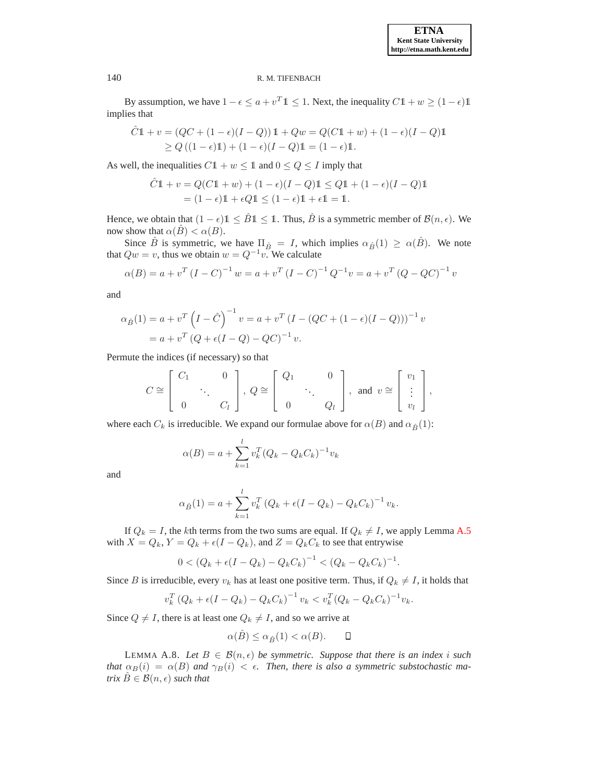By assumption, we have  $1 - \epsilon \le a + v^T 1 \le 1$ . Next, the inequality  $C_1 1 + w \ge (1 - \epsilon) 1$ implies that

$$
\hat{C}\mathbb{1} + v = (QC + (1 - \epsilon)(I - Q))\mathbb{1} + Qw = Q(C\mathbb{1} + w) + (1 - \epsilon)(I - Q)\mathbb{1}
$$
  
\n
$$
\ge Q((1 - \epsilon)\mathbb{1}) + (1 - \epsilon)(I - Q)\mathbb{1} = (1 - \epsilon)\mathbb{1}.
$$

As well, the inequalities  $C1 + w \le 1$  and  $0 \le Q \le I$  imply that

$$
\hat{C}\mathbb{1} + v = Q(C\mathbb{1} + w) + (1 - \epsilon)(I - Q)\mathbb{1} \le Q\mathbb{1} + (1 - \epsilon)(I - Q)\mathbb{1}
$$

$$
= (1 - \epsilon)\mathbb{1} + \epsilon Q\mathbb{1} \le (1 - \epsilon)\mathbb{1} + \epsilon \mathbb{1} = \mathbb{1}.
$$

Hence, we obtain that  $(1 - \epsilon) \mathbb{1} \leq \hat{B} \mathbb{1} \leq \mathbb{1}$ . Thus,  $\hat{B}$  is a symmetric member of  $\mathcal{B}(n, \epsilon)$ . We now show that  $\alpha(\hat{B}) < \alpha(B)$ .

Since  $\hat{B}$  is symmetric, we have  $\Pi_{\hat{B}} = I$ , which implies  $\alpha_{\hat{B}}(1) \geq \alpha(\hat{B})$ . We note that  $Qw = v$ , thus we obtain  $w = Q^{-1}v$ . We calculate

$$
\alpha(B) = a + v^T (I - C)^{-1} w = a + v^T (I - C)^{-1} Q^{-1} v = a + v^T (Q - QC)^{-1} v
$$

and

$$
\alpha_{\hat{B}}(1) = a + v^T \left(I - \hat{C}\right)^{-1} v = a + v^T \left(I - (QC + (1 - \epsilon)(I - Q))\right)^{-1} v
$$

$$
= a + v^T \left(Q + \epsilon(I - Q) - QC\right)^{-1} v.
$$

Permute the indices (if necessary) so that

$$
C \cong \left[\begin{array}{ccc} C_1 & 0 \\ & \ddots & \\ 0 & & C_l \end{array}\right],\ Q \cong \left[\begin{array}{ccc} Q_1 & 0 \\ & \ddots & \\ 0 & & Q_l \end{array}\right],\ \text{and}\ \ v \cong \left[\begin{array}{c} v_1 \\ \vdots \\ v_l \end{array}\right],
$$

where each  $C_k$  is irreducible. We expand our formulae above for  $\alpha(B)$  and  $\alpha_{\hat{B}}(1)$ :

$$
\alpha(B) = a + \sum_{k=1}^{l} v_k^T (Q_k - Q_k C_k)^{-1} v_k
$$

and

$$
\alpha_{\hat{B}}(1) = a + \sum_{k=1}^{l} v_k^T (Q_k + \epsilon (I - Q_k) - Q_k C_k)^{-1} v_k.
$$

If  $Q_k = I$ , the kth terms from the two sums are equal. If  $Q_k \neq I$ , we apply Lemma [A.5](#page-18-0) with  $X = Q_k$ ,  $Y = Q_k + \epsilon (I - Q_k)$ , and  $Z = Q_k C_k$  to see that entrywise

$$
0 < (Q_k + \epsilon (I - Q_k) - Q_k C_k)^{-1} < (Q_k - Q_k C_k)^{-1}.
$$

Since B is irreducible, every  $v_k$  has at least one positive term. Thus, if  $Q_k \neq I$ , it holds that

$$
v_k^T (Q_k + \epsilon (I - Q_k) - Q_k C_k)^{-1} v_k < v_k^T (Q_k - Q_k C_k)^{-1} v_k.
$$

Since  $Q \neq I$ , there is at least one  $Q_k \neq I$ , and so we arrive at

$$
\alpha(\hat{B}) \le \alpha_{\hat{B}}(1) < \alpha(B). \qquad \Box
$$

<span id="page-20-0"></span>LEMMA A.8. Let  $B \in \mathcal{B}(n, \epsilon)$  be symmetric. Suppose that there is an index i such *that*  $\alpha_B(i) = \alpha(B)$  *and*  $\gamma_B(i) < \epsilon$ . *Then, there is also a symmetric substochastic matrix*  $\hat{B} \in \mathcal{B}(n, \epsilon)$  *such that*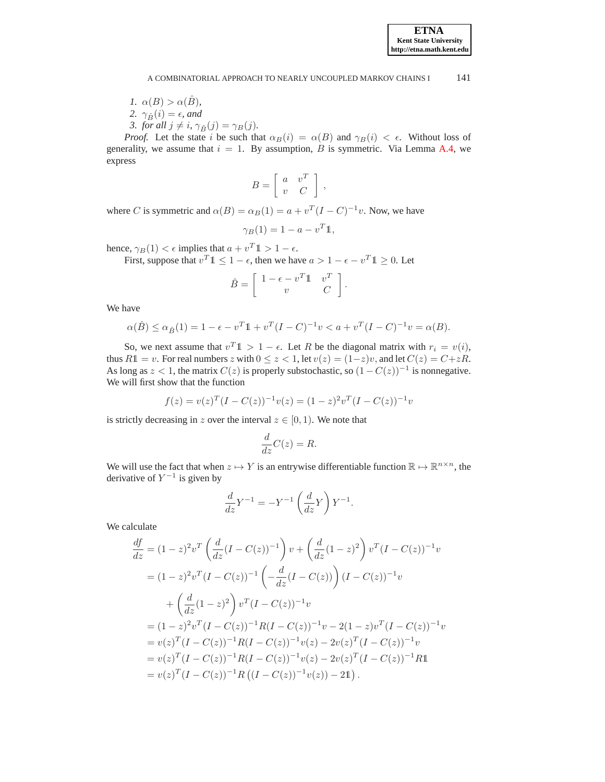*1.*  $\alpha(B) > \alpha(\hat{B})$ , 2.  $\gamma_{\hat{B}}(i) = \epsilon$ *, and 3. for all*  $j \neq i$ ,  $\gamma_{\hat{B}}(j) = \gamma_B(j)$ .

*Proof.* Let the state i be such that  $\alpha_B(i) = \alpha(B)$  and  $\gamma_B(i) < \epsilon$ . Without loss of generality, we assume that  $i = 1$ . By assumption, B is symmetric. Via Lemma [A.4,](#page-17-0) we express

$$
B = \left[ \begin{array}{cc} a & v^T \\ v & C \end{array} \right] ,
$$

where C is symmetric and  $\alpha(B) = \alpha_B(1) = a + v^T(I - C)^{-1}v$ . Now, we have

$$
\gamma_B(1) = 1 - a - v^T \mathbb{1},
$$

hence,  $\gamma_B(1) < \epsilon$  implies that  $a + v^T \mathbb{1} > 1 - \epsilon$ .

First, suppose that  $v^T \mathbb{1} \leq 1 - \epsilon$ , then we have  $a > 1 - \epsilon - v^T \mathbb{1} \geq 0$ . Let

$$
\hat{B} = \left[ \begin{array}{cc} 1 - \epsilon - v^T \mathbb{1} & v^T \\ v & C \end{array} \right].
$$

We have

$$
\alpha(\hat{B}) \le \alpha_{\hat{B}}(1) = 1 - \epsilon - v^T 1 + v^T (I - C)^{-1} v < a + v^T (I - C)^{-1} v = \alpha(B).
$$

So, we next assume that  $v^T \mathbb{1} > 1 - \epsilon$ . Let R be the diagonal matrix with  $r_i = v(i)$ , thus  $R1 = v$ . For real numbers z with  $0 \le z < 1$ , let  $v(z) = (1-z)v$ , and let  $C(z) = C + zR$ . As long as  $z < 1$ , the matrix  $C(z)$  is properly substochastic, so  $(1 - C(z))^{-1}$  is nonnegative. We will first show that the function

$$
f(z) = v(z)^{T} (I - C(z))^{-1} v(z) = (1 - z)^{2} v^{T} (I - C(z))^{-1} v
$$

is strictly decreasing in z over the interval  $z \in [0, 1)$ . We note that

$$
\frac{d}{dz}C(z) = R.
$$

We will use the fact that when  $z \mapsto Y$  is an entrywise differentiable function  $\mathbb{R} \mapsto \mathbb{R}^{n \times n}$ , the derivative of  $Y^{-1}$  is given by

$$
\frac{d}{dz}Y^{-1} = -Y^{-1}\left(\frac{d}{dz}Y\right)Y^{-1}.
$$

We calculate

$$
\frac{df}{dz} = (1-z)^2 v^T \left( \frac{d}{dz} (I - C(z))^{-1} \right) v + \left( \frac{d}{dz} (1-z)^2 \right) v^T (I - C(z))^{-1} v
$$
\n
$$
= (1-z)^2 v^T (I - C(z))^{-1} \left( -\frac{d}{dz} (I - C(z)) \right) (I - C(z))^{-1} v
$$
\n
$$
+ \left( \frac{d}{dz} (1-z)^2 \right) v^T (I - C(z))^{-1} v
$$
\n
$$
= (1-z)^2 v^T (I - C(z))^{-1} R (I - C(z))^{-1} v - 2(1-z) v^T (I - C(z))^{-1} v
$$
\n
$$
= v(z)^T (I - C(z))^{-1} R (I - C(z))^{-1} v(z) - 2v(z)^T (I - C(z))^{-1} v
$$
\n
$$
= v(z)^T (I - C(z))^{-1} R (I - C(z))^{-1} v(z) - 2v(z)^T (I - C(z))^{-1} R 1
$$
\n
$$
= v(z)^T (I - C(z))^{-1} R ((I - C(z))^{-1} v(z)) - 21).
$$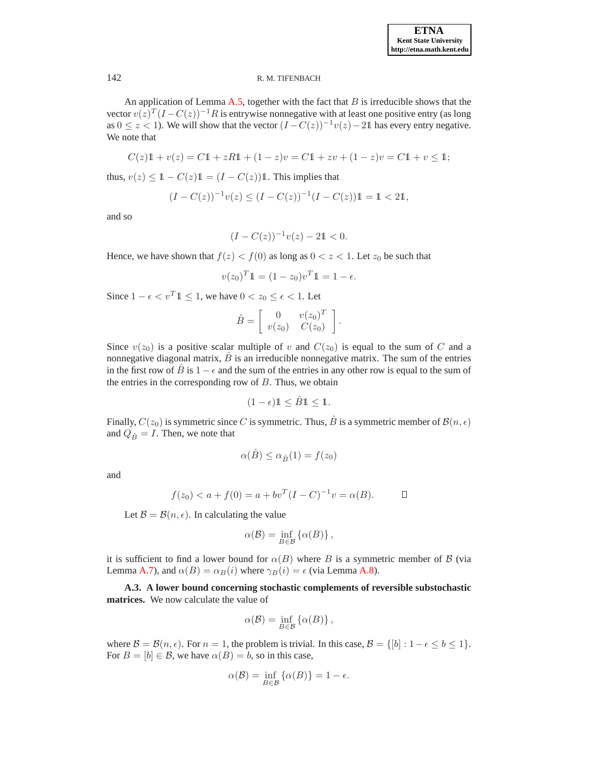An application of Lemma  $A.5$ , together with the fact that  $B$  is irreducible shows that the vector  $v(z)^T (I - C(z))^{-1} R$  is entrywise nonnegative with at least one positive entry (as long as  $0 \le z < 1$ ). We will show that the vector  $(I - C(z))^{-1}v(z) - 21$  has every entry negative. We note that

$$
C(z)\mathbb{1} + v(z) = C\mathbb{1} + zR\mathbb{1} + (1 - z)v = C\mathbb{1} + zv + (1 - z)v = C\mathbb{1} + v \le \mathbb{1};
$$

thus,  $v(z) \leq 1 - C(z)1 = (I - C(z))1$ . This implies that

$$
(I - C(z))^{-1} v(z) \le (I - C(z))^{-1} (I - C(z)) 1 = 1 < 21,
$$

and so

$$
(I - C(z))^{-1}v(z) - 21 < 0.
$$

Hence, we have shown that  $f(z) < f(0)$  as long as  $0 < z < 1$ . Let  $z_0$  be such that

$$
v(z_0)^T \mathbb{1} = (1 - z_0)v^T \mathbb{1} = 1 - \epsilon.
$$

Since  $1 - \epsilon < v^T 1 \leq 1$ , we have  $0 < z_0 \leq \epsilon < 1$ . Let

$$
\hat{B} = \left[ \begin{array}{cc} 0 & v(z_0)^T \\ v(z_0) & C(z_0) \end{array} \right].
$$

Since  $v(z_0)$  is a positive scalar multiple of v and  $C(z_0)$  is equal to the sum of C and a nonnegative diagonal matrix,  $\hat{B}$  is an irreducible nonnegative matrix. The sum of the entries in the first row of  $\hat{B}$  is  $1 - \epsilon$  and the sum of the entries in any other row is equal to the sum of the entries in the corresponding row of  $B$ . Thus, we obtain

$$
(1-\epsilon)1 \leq \hat{B}1 \leq 1.
$$

Finally,  $C(z_0)$  is symmetric since C is symmetric. Thus, B is a symmetric member of  $\mathcal{B}(n, \epsilon)$ and  $Q_{\hat{B}} = I$ . Then, we note that

$$
\alpha(\hat{B}) \le \alpha_{\hat{B}}(1) = f(z_0)
$$

and

$$
f(z_0) < a + f(0) = a + bv^T (I - C)^{-1} v = \alpha(B). \qquad \Box
$$

Let  $\mathcal{B} = \mathcal{B}(n, \epsilon)$ . In calculating the value

$$
\alpha(\mathcal{B}) = \inf_{B \in \mathcal{B}} \left\{ \alpha(B) \right\},\,
$$

it is sufficient to find a lower bound for  $\alpha(B)$  where B is a symmetric member of B (via Lemma [A.7\)](#page-19-0), and  $\alpha(B) = \alpha_B(i)$  where  $\gamma_B(i) = \epsilon$  (via Lemma [A.8\)](#page-20-0).

**A.3. A lower bound concerning stochastic complements of reversible substochastic matrices.** We now calculate the value of

$$
\alpha(\mathcal{B}) = \inf_{B \in \mathcal{B}} \left\{ \alpha(B) \right\},\,
$$

where  $\mathcal{B} = \mathcal{B}(n, \epsilon)$ . For  $n = 1$ , the problem is trivial. In this case,  $\mathcal{B} = \{ [b] : 1 - \epsilon \leq b \leq 1 \}$ . For  $B = [b] \in \mathcal{B}$ , we have  $\alpha(B) = b$ , so in this case,

$$
\alpha(\mathcal{B}) = \inf_{B \in \mathcal{B}} \{ \alpha(B) \} = 1 - \epsilon.
$$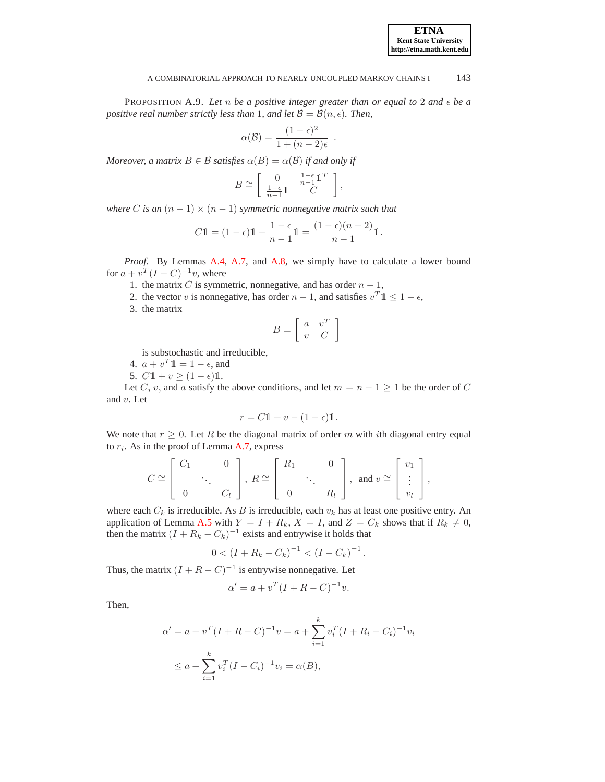## **ETNA Kent State University http://etna.math.kent.edu**

#### A COMBINATORIAL APPROACH TO NEARLY UNCOUPLED MARKOV CHAINS I 143

.

<span id="page-23-0"></span>PROPOSITION A.9. Let  $n$  be a positive integer greater than or equal to  $2$  and  $\epsilon$  be a *positive real number strictly less than* 1*, and let*  $\mathcal{B} = \mathcal{B}(n, \epsilon)$ *. Then,* 

$$
\alpha(\mathcal{B}) = \frac{(1 - \epsilon)^2}{1 + (n - 2)\epsilon}
$$

*Moreover, a matrix*  $B \in \mathcal{B}$  *satisfies*  $\alpha(B) = \alpha(\mathcal{B})$  *if and only if* 

$$
B \cong \left[ \begin{array}{cc} 0 & \frac{1-\epsilon}{n-1} \mathbb{1}^T \\ \frac{1-\epsilon}{n-1} \mathbb{1} & C \end{array} \right],
$$

*where* C is an  $(n - 1) \times (n - 1)$  *symmetric nonnegative matrix such that* 

$$
C1\mathbb{1} = (1 - \epsilon)1 - \frac{1 - \epsilon}{n - 1}1 = \frac{(1 - \epsilon)(n - 2)}{n - 1}1.
$$

*Proof*. By Lemmas [A.4,](#page-17-0) [A.7,](#page-19-0) and [A.8,](#page-20-0) we simply have to calculate a lower bound for  $a + v^T (I - C)^{-1} v$ , where

- 1. the matrix C is symmetric, nonnegative, and has order  $n 1$ ,
- 2. the vector v is nonnegative, has order  $n-1$ , and satisfies  $v^T 1 \leq 1 \epsilon$ ,
- 3. the matrix

$$
B = \left[ \begin{array}{cc} a & v^T \\ v & C \end{array} \right]
$$

is substochastic and irreducible,

4. 
$$
a + v^T \mathbb{1} = 1 - \epsilon
$$
, and

5.  $C1 + v \ge (1 - \epsilon)1$ .

Let C, v, and a satisfy the above conditions, and let  $m = n - 1 \geq 1$  be the order of C and v. Let

$$
r = C1 + v - (1 - \epsilon)1.
$$

We note that  $r \geq 0$ . Let R be the diagonal matrix of order m with ith diagonal entry equal to  $r_i$ . As in the proof of Lemma [A.7,](#page-19-0) express

$$
C \cong \left[\begin{array}{ccc} C_1 & 0 \\ & \ddots & \\ 0 & C_l \end{array}\right], R \cong \left[\begin{array}{ccc} R_1 & 0 \\ & \ddots & \\ 0 & R_l \end{array}\right], \text{ and } v \cong \left[\begin{array}{c} v_1 \\ \vdots \\ v_l \end{array}\right],
$$

where each  $C_k$  is irreducible. As B is irreducible, each  $v_k$  has at least one positive entry. An application of Lemma [A.5](#page-18-0) with  $Y = I + R_k$ ,  $X = I$ , and  $Z = C_k$  shows that if  $R_k \neq 0$ , then the matrix  $(I + R_k - C_k)^{-1}$  exists and entrywise it holds that

$$
0 < (I + R_k - C_k)^{-1} < (I - C_k)^{-1}.
$$

Thus, the matrix  $(I + R - C)^{-1}$  is entrywise nonnegative. Let

$$
\alpha' = a + v^T (I + R - C)^{-1} v.
$$

Then,

$$
\alpha' = a + v^T (I + R - C)^{-1} v = a + \sum_{i=1}^k v_i^T (I + R_i - C_i)^{-1} v_i
$$
  

$$
\leq a + \sum_{i=1}^k v_i^T (I - C_i)^{-1} v_i = \alpha(B),
$$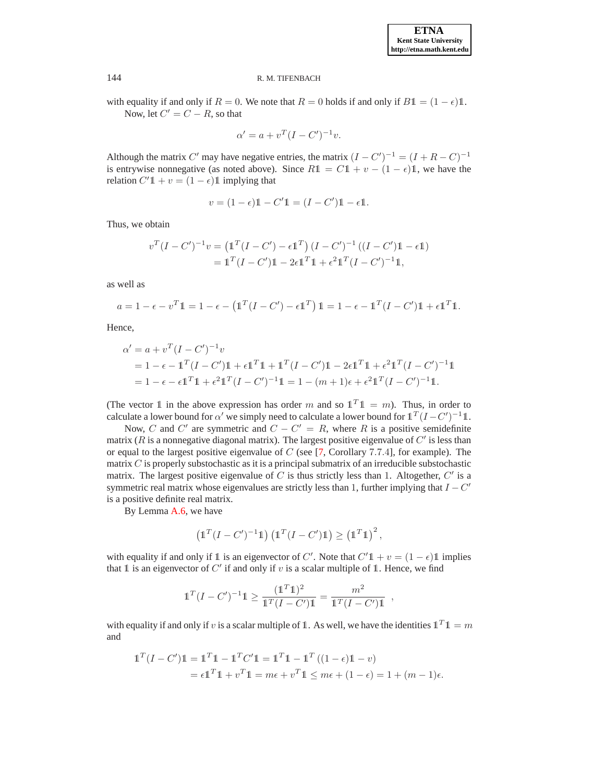with equality if and only if  $R = 0$ . We note that  $R = 0$  holds if and only if  $B\mathbb{1} = (1 - \epsilon)\mathbb{1}$ . Now, let  $C' = C - R$ , so that

$$
\alpha' = a + v^T (I - C')^{-1} v.
$$

Although the matrix C' may have negative entries, the matrix  $(I - C')^{-1} = (I + R - C)^{-1}$ is entrywise nonnegative (as noted above). Since  $R1 = C1 + v - (1 - \epsilon)1$ , we have the relation  $C' \mathbb{1} + v = (1 - \epsilon) \mathbb{1}$  implying that

$$
v = (1 - \epsilon)\mathbb{1} - C'\mathbb{1} = (I - C')\mathbb{1} - \epsilon\mathbb{1}.
$$

Thus, we obtain

$$
v^{T}(I - C')^{-1}v = (\mathbb{1}^{T}(I - C') - \epsilon \mathbb{1}^{T})(I - C')^{-1}((I - C')\mathbb{1} - \epsilon \mathbb{1})
$$
  
= 
$$
\mathbb{1}^{T}(I - C')\mathbb{1} - 2\epsilon \mathbb{1}^{T}\mathbb{1} + \epsilon^{2}\mathbb{1}^{T}(I - C')^{-1}\mathbb{1},
$$

as well as

$$
a = 1 - \epsilon - v^T \mathbb{1} = 1 - \epsilon - \left(\mathbb{1}^T (I - C') - \epsilon \mathbb{1}^T\right) \mathbb{1} = 1 - \epsilon - \mathbb{1}^T (I - C') \mathbb{1} + \epsilon \mathbb{1}^T \mathbb{1}.
$$

Hence,

$$
\alpha' = a + v^{T} (I - C')^{-1} v
$$
  
= 1 - \epsilon - \mathbf{1}^{T} (I - C') \mathbf{1} + \epsilon \mathbf{1}^{T} \mathbf{1} + \mathbf{1}^{T} (I - C') \mathbf{1} - 2\epsilon \mathbf{1}^{T} \mathbf{1} + \epsilon^{2} \mathbf{1}^{T} (I - C')^{-1} \mathbf{1}  
= 1 - \epsilon - \epsilon \mathbf{1}^{T} \mathbf{1} + \epsilon^{2} \mathbf{1}^{T} (I - C')^{-1} \mathbf{1} = 1 - (m + 1)\epsilon + \epsilon^{2} \mathbf{1}^{T} (I - C')^{-1} \mathbf{1}.

(The vector 1 in the above expression has order m and so  $\mathbb{1}^T \mathbb{1} = m$ ). Thus, in order to calculate a lower bound for  $\alpha'$  we simply need to calculate a lower bound for  $1^T(I-C')^{-1}1$ .

Now, C and C' are symmetric and  $C - C' = R$ , where R is a positive semidefinite matrix ( $R$  is a nonnegative diagonal matrix). The largest positive eigenvalue of  $C'$  is less than or equal to the largest positive eigenvalue of  $C$  (see  $[7,$  Corollary 7.7.4], for example). The matrix  $C$  is properly substochastic as it is a principal submatrix of an irreducible substochastic matrix. The largest positive eigenvalue of  $C$  is thus strictly less than 1. Altogether,  $C'$  is a symmetric real matrix whose eigenvalues are strictly less than 1, further implying that  $I - C'$ is a positive definite real matrix.

By Lemma [A.6,](#page-18-1) we have

$$
\left(\mathbb{1}^T(I-C')^{-1}\mathbb{1}\right)\left(\mathbb{1}^T(I-C')\mathbb{1}\right) \geq \left(\mathbb{1}^T\mathbb{1}\right)^2,
$$

with equality if and only if 1 is an eigenvector of C'. Note that  $C'1 + v = (1 - \epsilon)1$  implies that 1 is an eigenvector of  $C'$  if and only if v is a scalar multiple of 1. Hence, we find

$$
\mathbb{1}^T (I - C')^{-1} \mathbb{1} \ge \frac{(\mathbb{1}^T \mathbb{1})^2}{\mathbb{1}^T (I - C') \mathbb{1}} = \frac{m^2}{\mathbb{1}^T (I - C') \mathbb{1}},
$$

with equality if and only if v is a scalar multiple of 1. As well, we have the identities  $\mathbb{1}^T \mathbb{1} = m$ and

$$
\begin{aligned} \mathbb{1}^T (I - C') \mathbb{1} &= \mathbb{1}^T \mathbb{1} - \mathbb{1}^T C' \mathbb{1} = \mathbb{1}^T \mathbb{1} - \mathbb{1}^T \left( (1 - \epsilon) \mathbb{1} - v \right) \\ &= \epsilon \mathbb{1}^T \mathbb{1} + v^T \mathbb{1} = m\epsilon + v^T \mathbb{1} \le m\epsilon + (1 - \epsilon) = 1 + (m - 1)\epsilon. \end{aligned}
$$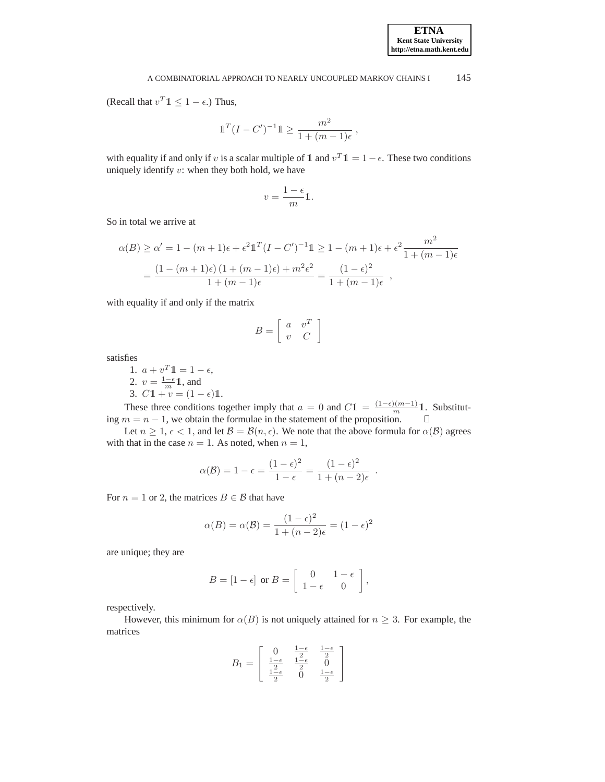(Recall that  $v^T \mathbb{1} \leq 1 - \epsilon$ .) Thus,

$$
\mathbb{1}^T (I - C')^{-1} \mathbb{1} \ge \frac{m^2}{1 + (m - 1)\epsilon} \,,
$$

with equality if and only if v is a scalar multiple of 1 and  $v^T 1 = 1 - \epsilon$ . These two conditions uniquely identify  $v$ : when they both hold, we have

$$
v=\frac{1-\epsilon}{m}\mathbb{1}.
$$

So in total we arrive at

$$
\alpha(B) \ge \alpha' = 1 - (m+1)\epsilon + \epsilon^2 \mathbb{1}^T (I - C')^{-1} \mathbb{1} \ge 1 - (m+1)\epsilon + \epsilon^2 \frac{m^2}{1 + (m-1)\epsilon}
$$

$$
= \frac{(1 - (m+1)\epsilon)(1 + (m-1)\epsilon) + m^2 \epsilon^2}{1 + (m-1)\epsilon} = \frac{(1 - \epsilon)^2}{1 + (m-1)\epsilon},
$$

with equality if and only if the matrix

$$
B = \left[ \begin{array}{cc} a & v^T \\ v & C \end{array} \right]
$$

satisfies

1.  $a + v^T 1 = 1 - \epsilon$ , 2.  $v = \frac{1-\epsilon}{m} \mathbb{1}$ , and 3.  $C1 + v = (1 - \epsilon)1$ .

These three conditions together imply that  $a = 0$  and  $C1 = \frac{(1-\epsilon)(m-1)}{m}1$ . Substituting  $m = n - 1$ , we obtain the formulae in the statement of the proposition.

Let  $n \geq 1$ ,  $\epsilon < 1$ , and let  $\mathcal{B} = \mathcal{B}(n, \epsilon)$ . We note that the above formula for  $\alpha(\mathcal{B})$  agrees with that in the case  $n = 1$ . As noted, when  $n = 1$ ,

$$
\alpha(\mathcal{B}) = 1 - \epsilon = \frac{(1 - \epsilon)^2}{1 - \epsilon} = \frac{(1 - \epsilon)^2}{1 + (n - 2)\epsilon}
$$

.

For  $n = 1$  or 2, the matrices  $B \in \mathcal{B}$  that have

$$
\alpha(B) = \alpha(B) = \frac{(1 - \epsilon)^2}{1 + (n - 2)\epsilon} = (1 - \epsilon)^2
$$

are unique; they are

$$
B = \begin{bmatrix} 1 - \epsilon \end{bmatrix} \text{ or } B = \begin{bmatrix} 0 & 1 - \epsilon \\ 1 - \epsilon & 0 \end{bmatrix},
$$

respectively.

However, this minimum for  $\alpha(B)$  is not uniquely attained for  $n \geq 3$ . For example, the matrices

$$
B_1=\left[\begin{array}{ccc}0&\frac{1-\epsilon}{2}&\frac{1-\epsilon}{2}\\ \frac{1-\epsilon}{2}&\frac{1-\epsilon}{2}&0\\ \frac{1-\epsilon}{2}&0&\frac{1-\epsilon}{2}\end{array}\right]
$$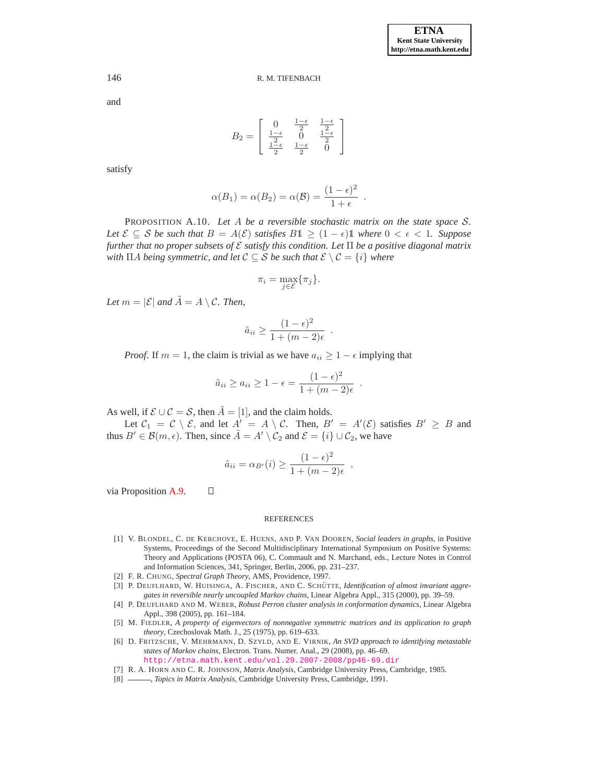and

$$
B_2 = \left[ \begin{array}{cc} 0 & \frac{1-\epsilon}{2} & \frac{1-\epsilon}{2} \\ \frac{1-\epsilon}{2} & 0 & \frac{1-\epsilon}{2} \\ \frac{1-\epsilon}{2} & \frac{1-\epsilon}{2} & 0 \end{array} \right]
$$

satisfy

$$
\alpha(B_1) = \alpha(B_2) = \alpha(\mathcal{B}) = \frac{(1-\epsilon)^2}{1+\epsilon} .
$$

<span id="page-26-6"></span>PROPOSITION A.10. *Let* A *be a reversible stochastic matrix on the state space* S*. Let*  $\mathcal{E} \subseteq \mathcal{S}$  *be such that*  $B = A(\mathcal{E})$  *satisfies*  $B1 \geq (1 - \epsilon)1$  *where*  $0 < \epsilon < 1$ *. Suppose further that no proper subsets of* E *satisfy this condition. Let* Π *be a positive diagonal matrix with*  $\Pi A$  *being symmetric, and let*  $C \subseteq S$  *be such that*  $\mathcal{E} \setminus C = \{i\}$  *where* 

$$
\pi_i = \max_{j \in \mathcal{E}} \{\pi_j\}.
$$

*Let*  $m = |\mathcal{E}|$  and  $\tilde{A} = A \setminus C$ . Then,

$$
\tilde{a}_{ii} \ge \frac{(1-\epsilon)^2}{1+(m-2)\epsilon}
$$

.

,

*Proof.* If  $m = 1$ , the claim is trivial as we have  $a_{ii} \geq 1 - \epsilon$  implying that

$$
\tilde{a}_{ii} \ge a_{ii} \ge 1 - \epsilon = \frac{(1 - \epsilon)^2}{1 + (m - 2)\epsilon} .
$$

As well, if  $\mathcal{E} \cup \mathcal{C} = \mathcal{S}$ , then  $\tilde{A} = [1]$ , and the claim holds.

 $\Box$ 

Let  $C_1 = C \setminus \mathcal{E}$ , and let  $A' = A \setminus \mathcal{C}$ . Then,  $B' = A'(\mathcal{E})$  satisfies  $B' \geq B$  and thus  $B' \in \mathcal{B}(m, \epsilon)$ . Then, since  $\tilde{A} = A' \setminus \mathcal{C}_2$  and  $\mathcal{E} = \{i\} \cup \mathcal{C}_2$ , we have

$$
\tilde{a}_{ii} = \alpha_{B'}(i) \ge \frac{(1 - \epsilon)^2}{1 + (m - 2)\epsilon}
$$

via Proposition [A.9.](#page-23-0)

#### REFERENCES

- <span id="page-26-5"></span>[1] V. BLONDEL, C. DE KERCHOVE, E. HUENS, AND P. VAN DOOREN, *Social leaders in graphs*, in Positive Systems, Proceedings of the Second Multidisciplinary International Symposium on Positive Systems: Theory and Applications (POSTA 06), C. Commault and N. Marchand, eds., Lecture Notes in Control and Information Sciences, 341, Springer, Berlin, 2006, pp. 231–237.
- <span id="page-26-3"></span><span id="page-26-0"></span>[2] F. R. CHUNG, *Spectral Graph Theory*, AMS, Providence, 1997.
- [3] P. DEUFLHARD, W. HUISINGA, A. FISCHER, AND C. SCHÜTTE, *Identification of almost invariant aggregates in reversible nearly uncoupled Markov chains*, Linear Algebra Appl., 315 (2000), pp. 39–59.
- <span id="page-26-1"></span>[4] P. DEUFLHARD AND M. WEBER, *Robust Perron cluster analysis in conformation dynamics*, Linear Algebra Appl., 398 (2005), pp. 161–184.
- <span id="page-26-4"></span>[5] M. FIEDLER, *A property of eigenvectors of nonnegative symmetric matrices and its application to graph theory*, Czechoslovak Math. J., 25 (1975), pp. 619–633.
- <span id="page-26-2"></span>[6] D. FRITZSCHE, V. MEHRMANN, D. SZYLD, AND E. VIRNIK, *An SVD approach to identifying metastable states of Markov chains*, Electron. Trans. Numer. Anal., 29 (2008), pp. 46–69. <http://etna.math.kent.edu/vol.29.2007-2008/pp46-69.dir>
- <span id="page-26-8"></span><span id="page-26-7"></span>[7] R. A. HORN AND C. R. JOHNSON, *Matrix Analysis*, Cambridge University Press, Cambridge, 1985.
- [8] , *Topics in Matrix Analysis*, Cambridge University Press, Cambridge, 1991.